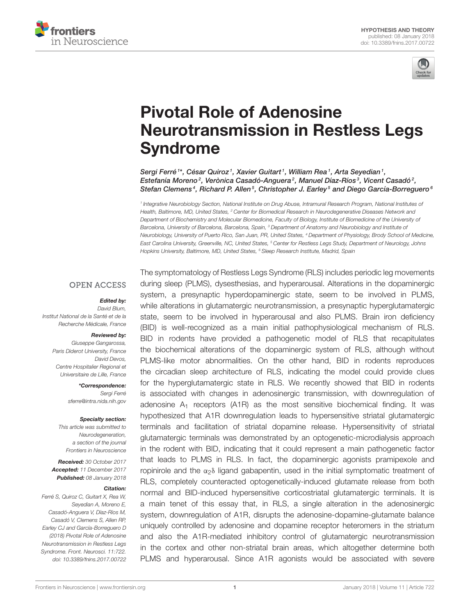



# Pivotal Role of Adenosine [Neurotransmission in Restless Legs](https://www.frontiersin.org/articles/10.3389/fnins.2017.00722/full) Syndrome

[Sergi Ferré](http://loop.frontiersin.org/people/1758/overview)<sup>1\*</sup>, César Quiroz<sup>1</sup>, Xavier Guitart<sup>1</sup>, William Rea<sup>1</sup>, [Arta Seyedian](http://loop.frontiersin.org/people/492755/overview)<sup>1</sup>, [Estefanía Moreno](http://loop.frontiersin.org/people/499467/overview) $^2$ , Verònica Casadó-Anguera $^2$ , Manuel Díaz-Ríos $^3$ , [Vicent Casadó](http://loop.frontiersin.org/people/1759/overview) $^2$ , [Stefan Clemens](http://loop.frontiersin.org/people/53190/overview)<sup>4</sup>, Richard P. Allen<sup>5</sup>, Christopher J. Earley<sup>5</sup> and Diego García-Borreguero<sup>6</sup>

<sup>1</sup> Integrative Neurobiology Section, National Institute on Drug Abuse, Intramural Research Program, National Institutes oi Health, Baltimore, MD, United States, <sup>2</sup> Center for Biomedical Research in Neurodegenerative Diseases Network and Department of Biochemistry and Molecular Biomedicine, Faculty of Biology, Institute of Biomedicine of the University of Barcelona, University of Barcelona, Barcelona, Spain, <sup>3</sup> Department of Anatomy and Neurobiology and Institute of Neurobiology, University of Puerto Rico, San Juan, PR, United States, <sup>4</sup> Department of Physiology, Brody School of Medicine, East Carolina University, Greenville, NC, United States, <sup>5</sup> Center for Restless Legs Study, Department of Neurology, Johns Hopkins University, Baltimore, MD, United States, <sup>6</sup> Sleep Research Institute, Madrid, Spain

### **OPEN ACCESS**

#### Edited by:

David Blum, Institut National de la Santé et de la Recherche Médicale, France

#### Reviewed by:

Giuseppe Gangarossa, Paris Diderot University, France David Devos, Centre Hospitalier Regional et Universitaire de Lille, France

> \*Correspondence: Sergi Ferré [sferre@intra.nida.nih.gov](mailto:sferre@intra.nida.nih.gov)

#### Specialty section:

This article was submitted to Neurodegeneration, a section of the journal Frontiers in Neuroscience

Received: 30 October 2017 Accepted: 11 December 2017 Published: 08 January 2018

#### Citation:

Ferré S, Quiroz C, Guitart X, Rea W, Seyedian A, Moreno E, Casadó-Anguera V, Díaz-Ríos M, Casadó V, Clemens S, Allen RP, Earley CJ and García-Borreguero D (2018) Pivotal Role of Adenosine Neurotransmission in Restless Legs Syndrome. Front. Neurosci. 11:722. doi: [10.3389/fnins.2017.00722](https://doi.org/10.3389/fnins.2017.00722)

The symptomatology of Restless Legs Syndrome (RLS) includes periodic leg movements during sleep (PLMS), dysesthesias, and hyperarousal. Alterations in the dopaminergic system, a presynaptic hyperdopaminergic state, seem to be involved in PLMS, while alterations in glutamatergic neurotransmission, a presynaptic hyperglutamatergic state, seem to be involved in hyperarousal and also PLMS. Brain iron deficiency (BID) is well-recognized as a main initial pathophysiological mechanism of RLS. BID in rodents have provided a pathogenetic model of RLS that recapitulates the biochemical alterations of the dopaminergic system of RLS, although without PLMS-like motor abnormalities. On the other hand, BID in rodents reproduces the circadian sleep architecture of RLS, indicating the model could provide clues for the hyperglutamatergic state in RLS. We recently showed that BID in rodents is associated with changes in adenosinergic transmission, with downregulation of adenosine  $A_1$  receptors (A1R) as the most sensitive biochemical finding. It was hypothesized that A1R downregulation leads to hypersensitive striatal glutamatergic terminals and facilitation of striatal dopamine release. Hypersensitivity of striatal glutamatergic terminals was demonstrated by an optogenetic-microdialysis approach in the rodent with BID, indicating that it could represent a main pathogenetic factor that leads to PLMS in RLS. In fact, the dopaminergic agonists pramipexole and ropinirole and the  $\alpha_2\delta$  ligand gabapentin, used in the initial symptomatic treatment of RLS, completely counteracted optogenetically-induced glutamate release from both normal and BID-induced hypersensitive corticostriatal glutamatergic terminals. It is a main tenet of this essay that, in RLS, a single alteration in the adenosinergic system, downregulation of A1R, disrupts the adenosine-dopamine-glutamate balance uniquely controlled by adenosine and dopamine receptor heteromers in the striatum and also the A1R-mediated inhibitory control of glutamatergic neurotransmission in the cortex and other non-striatal brain areas, which altogether determine both PLMS and hyperarousal. Since A1R agonists would be associated with severe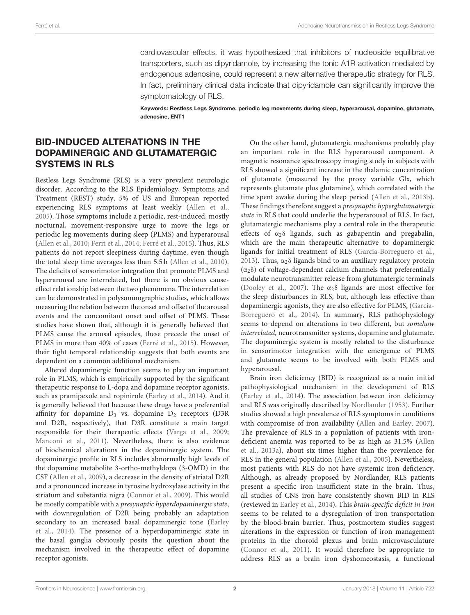cardiovascular effects, it was hypothesized that inhibitors of nucleoside equilibrative transporters, such as dipyridamole, by increasing the tonic A1R activation mediated by endogenous adenosine, could represent a new alternative therapeutic strategy for RLS. In fact, preliminary clinical data indicate that dipyridamole can significantly improve the symptomatology of RLS.

Keywords: Restless Legs Syndrome, periodic leg movements during sleep, hyperarousal, dopamine, glutamate, adenosine, ENT1

## BID-INDUCED ALTERATIONS IN THE DOPAMINERGIC AND GLUTAMATERGIC SYSTEMS IN RLS

Restless Legs Syndrome (RLS) is a very prevalent neurologic disorder. According to the RLS Epidemiology, Symptoms and Treatment (REST) study, 5% of US and European reported experiencing RLS symptoms at least weekly [\(Allen et al.,](#page-10-0) [2005\)](#page-10-0). Those symptoms include a periodic, rest-induced, mostly nocturnal, movement-responsive urge to move the legs or periodic leg movements during sleep (PLMS) and hyperarousal [\(Allen et al., 2010;](#page-10-1) [Ferri et al., 2014;](#page-11-0) [Ferré et al., 2015\)](#page-11-1). Thus, RLS patients do not report sleepiness during daytime, even though the total sleep time averages less than 5.5 h [\(Allen et al., 2010\)](#page-10-1). The deficits of sensorimotor integration that promote PLMS and hyperarousal are interrelated, but there is no obvious causeeffect relationship between the two phenomena. The interrelation can be demonstrated in polysomnographic studies, which allows measuring the relation between the onset and offset of the arousal events and the concomitant onset and offset of PLMS. These studies have shown that, although it is generally believed that PLMS cause the arousal episodes, these precede the onset of PLMS in more than 40% of cases [\(Ferré et al., 2015\)](#page-11-1). However, their tight temporal relationship suggests that both events are dependent on a common additional mechanism.

Altered dopaminergic function seems to play an important role in PLMS, which is empirically supported by the significant therapeutic response to L-dopa and dopamine receptor agonists, such as pramipexole and ropinirole [\(Earley et al., 2014\)](#page-11-2). And it is generally believed that because these drugs have a preferential affinity for dopamine  $D_3$  vs. dopamine  $D_2$  receptors (D3R and D2R, respectively), that D3R constitute a main target responsible for their therapeutic effects [\(Varga et al., 2009;](#page-13-0) [Manconi et al., 2011\)](#page-12-0). Nevertheless, there is also evidence of biochemical alterations in the dopaminergic system. The dopaminergic profile in RLS includes abnormally high levels of the dopamine metabolite 3-ortho-methyldopa (3-OMD) in the CSF [\(Allen et al., 2009\)](#page-10-2), a decrease in the density of striatal D2R and a pronounced increase in tyrosine hydroxylase activity in the striatum and substantia nigra [\(Connor et al., 2009\)](#page-11-3). This would be mostly compatible with a presynaptic hyperdopaminergic state, with downregulation of D2R being probably an adaptation secondary to an increased basal dopaminergic tone (Earley et al., [2014\)](#page-11-2). The presence of a hyperdopaminergic state in the basal ganglia obviously posits the question about the mechanism involved in the therapeutic effect of dopamine receptor agonists.

On the other hand, glutamatergic mechanisms probably play an important role in the RLS hyperarousal component. A magnetic resonance spectroscopy imaging study in subjects with RLS showed a significant increase in the thalamic concentration of glutamate (measured by the proxy variable Glx, which represents glutamate plus glutamine), which correlated with the time spent awake during the sleep period [\(Allen et al., 2013b\)](#page-10-3). These findings therefore suggest a presynaptic hyperglutamatergic state in RLS that could underlie the hyperarousal of RLS. In fact, glutamatergic mechanisms play a central role in the therapeutic effects of  $\alpha_2\delta$  ligands, such as gabapentin and pregabalin, which are the main therapeutic alternative to dopaminergic ligands for initial treatment of RLS [\(Garcia-Borreguero et al.,](#page-12-1) [2013\)](#page-12-1). Thus,  $\alpha_2\delta$  ligands bind to an auxiliary regulatory protein (α2δ) of voltage-dependent calcium channels that preferentially modulate neurotransmitter release from glutamatergic terminals [\(Dooley et al., 2007\)](#page-11-4). The  $\alpha_2\delta$  ligands are most effective for the sleep disturbances in RLS, but, although less effective than dopaminergic agonists, they are also effective for PLMS, (Garcia-Borreguero et al., [2014\)](#page-12-2). In summary, RLS pathophysiology seems to depend on alterations in two different, but somehow interrelated, neurotransmitter systems, dopamine and glutamate. The dopaminergic system is mostly related to the disturbance in sensorimotor integration with the emergence of PLMS and glutamate seems to be involved with both PLMS and hyperarousal.

Brain iron deficiency (BID) is recognized as a main initial pathophysiological mechanism in the development of RLS [\(Earley et al., 2014\)](#page-11-2). The association between iron deficiency and RLS was originally described by [Nordlander \(1953\)](#page-12-3). Further studies showed a high prevalence of RLS symptoms in conditions with compromise of iron availability [\(Allen and Earley, 2007\)](#page-10-4). The prevalence of RLS in a population of patients with irondeficient anemia was reported to be as high as 31.5% (Allen et al., [2013a\)](#page-10-5), about six times higher than the prevalence for RLS in the general population [\(Allen et al., 2005\)](#page-10-0). Nevertheless, most patients with RLS do not have systemic iron deficiency. Although, as already proposed by Nordlander, RLS patients present a specific iron insufficient state in the brain. Thus, all studies of CNS iron have consistently shown BID in RLS (reviewed in [Earley et al., 2014\)](#page-11-2). This brain-specific deficit in iron seems to be related to a dysregulation of iron transportation by the blood-brain barrier. Thus, postmortem studies suggest alterations in the expression or function of iron management proteins in the choroid plexus and brain microvasculature [\(Connor et al., 2011\)](#page-11-5). It would therefore be appropriate to address RLS as a brain iron dyshomeostasis, a functional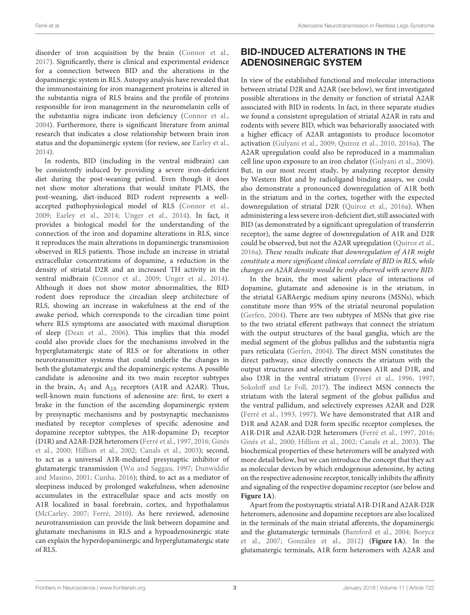disorder of iron acquisition by the brain [\(Connor et al.,](#page-11-6) [2017\)](#page-11-6). Significantly, there is clinical and experimental evidence for a connection between BID and the alterations in the dopaminergic system in RLS. Autopsy analysis have revealed that the immunostaining for iron management proteins is altered in the substantia nigra of RLS brains and the profile of proteins responsible for iron management in the neuromelanin cells of the substantia nigra indicate iron deficiency [\(Connor et al.,](#page-11-7) [2004\)](#page-11-7). Furthermore, there is significant literature from animal research that indicates a close relationship between brain iron status and the dopaminergic system (for review, see [Earley et al.,](#page-11-2) [2014\)](#page-11-2).

In rodents, BID (including in the ventral midbrain) can be consistently induced by providing a severe iron-deficient diet during the post-weaning period. Even though it does not show motor alterations that would imitate PLMS, the post-weaning, diet-induced BID rodent represents a wellaccepted pathophysiological model of RLS [\(Connor et al.,](#page-11-3) [2009;](#page-11-3) [Earley et al., 2014;](#page-11-2) [Unger et al., 2014\)](#page-13-1). In fact, it provides a biological model for the understanding of the connection of the iron and dopamine alterations in RLS, since it reproduces the main alterations in dopaminergic transmission observed in RLS patients. Those include an increase in striatal extracellular concentrations of dopamine, a reduction in the density of striatal D2R and an increased TH activity in the ventral midbrain [\(Connor et al., 2009;](#page-11-3) [Unger et al., 2014\)](#page-13-1). Although it does not show motor abnormalities, the BID rodent does reproduce the circadian sleep architecture of RLS, showing an increase in wakefulness at the end of the awake period, which corresponds to the circadian time point where RLS symptoms are associated with maximal disruption of sleep [\(Dean et al., 2006\)](#page-11-8). This implies that this model could also provide clues for the mechanisms involved in the hyperglutamatergic state of RLS or for alterations in other neurotransmitter systems that could underlie the changes in both the glutamatergic and the dopaminergic systems. A possible candidate is adenosine and its two main receptor subtypes in the brain,  $A_1$  and  $A_{2A}$  receptors (A1R and A2AR). Thus, well-known main functions of adenosine are: first, to exert a brake in the function of the ascending dopaminergic system by presynaptic mechanisms and by postsynaptic mechanisms mediated by receptor complexes of specific adenosine and dopamine receptor subtypes, the A1R-dopamine  $D_1$  receptor (D1R) and A2AR-D2R heteromers [\(Ferré et al., 1997,](#page-11-9) [2016;](#page-11-10) Ginés et al., [2000;](#page-12-4) [Hillion et al., 2002;](#page-12-5) [Canals et al., 2003\)](#page-10-6); second, to act as a universal A1R-mediated presynaptic inhibitor of glutamatergic transmission [\(Wu and Saggau, 1997;](#page-13-2) Dunwiddie and Masino, [2001;](#page-11-11) [Cunha, 2016\)](#page-11-12); third, to act as a mediator of sleepiness induced by prolonged wakefulness, when adenosine accumulates in the extracellular space and acts mostly on A1R localized in basal forebrain, cortex, and hypothalamus [\(McCarley, 2007;](#page-12-6) [Ferré, 2010\)](#page-11-13). As here reviewed, adenosine neurotransmission can provide the link between dopamine and glutamate mechanisms in RLS and a hypoadenosinergic state can explain the hyperdopaminergic and hyperglutamatergic state of RLS.

# BID-INDUCED ALTERATIONS IN THE ADENOSINERGIC SYSTEM

In view of the established functional and molecular interactions between striatal D2R and A2AR (see below), we first investigated possible alterations in the density or function of striatal A2AR associated with BID in rodents. In fact, in three separate studies we found a consistent upregulation of striatal A2AR in rats and rodents with severe BID, which was behaviorally associated with a higher efficacy of A2AR antagonists to produce locomotor activation [\(Gulyani et al., 2009;](#page-12-7) [Quiroz et al., 2010,](#page-12-8) [2016a\)](#page-12-9). The A2AR upregulation could also be reproduced in a mammalian cell line upon exposure to an iron chelator [\(Gulyani et al., 2009\)](#page-12-7). But, in our most recent study, by analyzing receptor density by Western Blot and by radioligand binding assays, we could also demonstrate a pronounced downregulation of A1R both in the striatum and in the cortex, together with the expected downregulation of striatal D2R [\(Quiroz et al., 2016a\)](#page-12-9). When administering a less severe iron-deficient diet, still associated with BID (as demonstrated by a significant upregulation of transferrin receptor), the same degree of downregulation of A1R and D2R could be observed, but not the A2AR upregulation [\(Quiroz et al.,](#page-12-9) [2016a\)](#page-12-9). These results indicate that downregulation of A1R might constitute a more significant clinical correlate of BID in RLS, while changes on A2AR density would be only observed with severe BID.

In the brain, the most salient place of interactions of dopamine, glutamate and adenosine is in the striatum, in the striatal GABAergic medium spiny neurons (MSNs), which constitute more than 95% of the striatal neuronal population [\(Gerfen, 2004\)](#page-12-10). There are two subtypes of MSNs that give rise to the two striatal efferent pathways that connect the striatum with the output structures of the basal ganglia, which are the medial segment of the globus pallidus and the substantia nigra pars reticulata [\(Gerfen, 2004\)](#page-12-10). The direct MSN constitutes the direct pathway, since directly connects the striatum with the output structures and selectively expresses A1R and D1R, and also D3R in the ventral striatum [\(Ferré et al., 1996,](#page-11-14) [1997;](#page-11-9) [Sokoloff and Le Foll, 2017\)](#page-13-3). The indirect MSN connects the striatum with the lateral segment of the globus pallidus and the ventral pallidum, and selectively expresses A2AR and D2R [\(Ferré et al., 1993,](#page-11-15) [1997\)](#page-11-9). We have demonstrated that A1R and D1R and A2AR and D2R form specific receptor complexes, the A1R-D1R and A2AR-D2R heteromers [\(Ferré et al., 1997,](#page-11-9) [2016;](#page-11-10) [Ginés et al., 2000;](#page-12-4) [Hillion et al., 2002;](#page-12-5) [Canals et al., 2003\)](#page-10-6). The biochemical properties of these heteromers will be analyzed with more detail below, but we can introduce the concept that they act as molecular devices by which endogenous adenosine, by acting on the respective adenosine receptor, tonically inhibits the affinity and signaling of the respective dopamine receptor (see below and **[Figure 1A](#page-3-0)**).

Apart from the postsynaptic striatal A1R-D1R and A2AR-D2R heteromers, adenosine and dopamine receptors are also localized in the terminals of the main striatal afferents, the dopaminergic and the glutamatergic terminals [\(Bamford et al., 2004;](#page-10-7) Borycz et al., [2007;](#page-10-8) [González et al., 2012\)](#page-12-11) (**[Figure 1A](#page-3-0)**). In the glutamatergic terminals, A1R form heteromers with A2AR and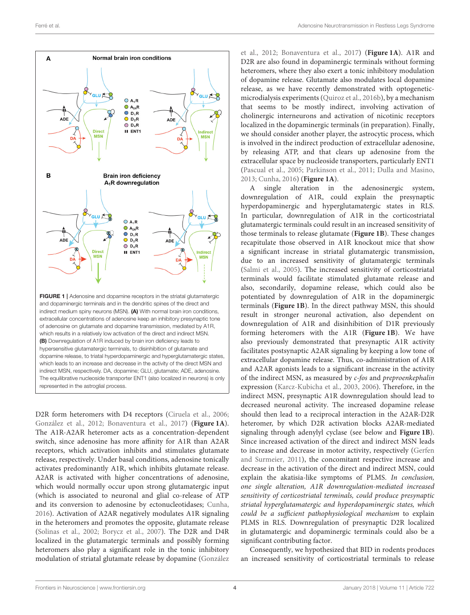

<span id="page-3-0"></span>D2R form heteromers with D4 receptors [\(Ciruela et al., 2006;](#page-11-16) [González et al., 2012;](#page-12-11) [Bonaventura et al., 2017\)](#page-10-9) (**[Figure 1A](#page-3-0)**). The A1R-A2AR heteromer acts as a concentration-dependent switch, since adenosine has more affinity for A1R than A2AR receptors, which activation inhibits and stimulates glutamate release, respectively. Under basal conditions, adenosine tonically activates predominantly A1R, which inhibits glutamate release. A2AR is activated with higher concentrations of adenosine, which would normally occur upon strong glutamatergic input (which is associated to neuronal and glial co-release of ATP and its conversion to adenosine by ectonucleotidases; [Cunha,](#page-11-12) [2016\)](#page-11-12). Activation of A2AR negatively modulates A1R signaling in the heteromers and promotes the opposite, glutamate release [\(Solinas et al., 2002;](#page-13-4) [Borycz et al., 2007\)](#page-10-8). The D2R and D4R localized in the glutamatergic terminals and possibly forming heteromers also play a significant role in the tonic inhibitory modulation of striatal glutamate release by dopamine (González

et al., [2012;](#page-12-11) [Bonaventura et al., 2017\)](#page-10-9) (**[Figure 1A](#page-3-0)**). A1R and D2R are also found in dopaminergic terminals without forming heteromers, where they also exert a tonic inhibitory modulation of dopamine release. Glutamate also modulates local dopamine release, as we have recently demonstrated with optogeneticmicrodialysis experiments [\(Quiroz et al., 2016b\)](#page-12-12), by a mechanism that seems to be mostly indirect, involving activation of cholinergic interneurons and activation of nicotinic receptors localized in the dopaminergic terminals (in preparation). Finally, we should consider another player, the astrocytic process, which is involved in the indirect production of extracellular adenosine, by releasing ATP, and that clears up adenosine from the extracellular space by nucleoside transporters, particularly ENT1 [\(Pascual et al., 2005;](#page-12-13) [Parkinson et al., 2011;](#page-12-14) [Dulla and Masino,](#page-11-17) [2013;](#page-11-17) [Cunha, 2016\)](#page-11-12) (**[Figure 1A](#page-3-0)**).

A single alteration in the adenosinergic system, downregulation of A1R, could explain the presynaptic hyperdopaminergic and hyperglutamatergic states in RLS. In particular, downregulation of A1R in the corticostriatal glutamatergic terminals could result in an increased sensitivity of those terminals to release glutamate (**[Figure 1B](#page-3-0)**). These changes recapitulate those observed in A1R knockout mice that show a significant increase in striatal glutamatergic transmission, due to an increased sensitivity of glutamatergic terminals [\(Salmi et al., 2005\)](#page-12-15). The increased sensitivity of corticostriatal terminals would facilitate stimulated glutamate release and also, secondarily, dopamine release, which could also be potentiated by downregulation of A1R in the dopaminergic terminals (**[Figure 1B](#page-3-0)**). In the direct pathway MSN, this should result in stronger neuronal activation, also dependent on downregulation of A1R and disinhibition of D1R previously forming heteromers with the A1R (**[Figure 1B](#page-3-0)**). We have also previously demonstrated that presynaptic A1R activity facilitates postsynaptic A2AR signaling by keeping a low tone of extracellular dopamine release. Thus, co-administration of A1R and A2AR agonists leads to a significant increase in the activity of the indirect MSN, as measured by c-fos and preproenkephalin expression [\(Karcz-Kubicha et al., 2003,](#page-12-16) [2006\)](#page-12-17). Therefore, in the indirect MSN, presynaptic A1R downregulation should lead to decreased neuronal activity. The increased dopamine release should then lead to a reciprocal interaction in the A2AR-D2R heteromer, by which D2R activation blocks A2AR-mediated signaling through adenylyl cyclase (see below and **[Figure 1B](#page-3-0)**). Since increased activation of the direct and indirect MSN leads to increase and decrease in motor activity, respectively (Gerfen and Surmeier, [2011\)](#page-12-18), the concomitant respective increase and decrease in the activation of the direct and indirect MSN, could explain the akatisia-like symptoms of PLMS. In conclusion, one single alteration, A1R downregulation-mediated increased sensitivity of corticostriatal terminals, could produce presynaptic striatal hyperglutamatergic and hyperdopaminergic states, which could be a sufficient pathophysiological mechanism to explain PLMS in RLS. Downregulation of presynaptic D2R localized in glutamatergic and dopaminergic terminals could also be a significant contributing factor.

Consequently, we hypothesized that BID in rodents produces an increased sensitivity of corticostriatal terminals to release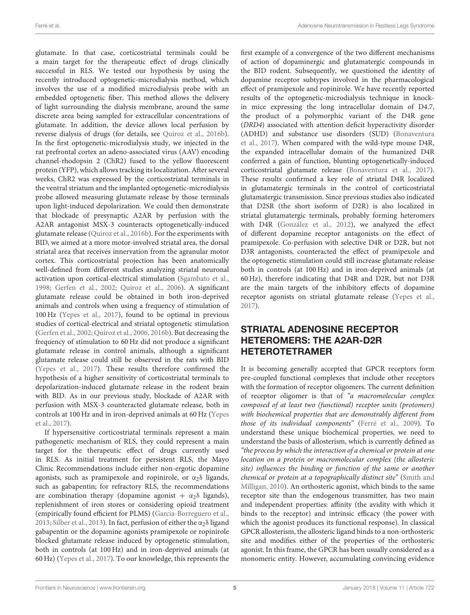glutamate. In that case, corticostriatal terminals could be a main target for the therapeutic effect of drugs clinically successful in RLS. We tested our hypothesis by using the recently introduced optogenetic-microdialysis method, which involves the use of a modified microdialysis probe with an embedded optogenetic fiber. This method allows the delivery of light surrounding the dialysis membrane, around the same discrete area being sampled for extracellular concentrations of glutamate. In addition, the device allows local perfusion by reverse dialysis of drugs (for details, see [Quiroz et al., 2016b\)](#page-12-12). In the first optogenetic-microdialysis study, we injected in the rat prefrontal cortex an adeno-associated virus (AAV) encoding channel-rhodopsin 2 (ChR2) fused to the yellow fluorescent protein (YFP), which allows tracking its localization. After several weeks, ChR2 was expressed by the corticostriatal terminals in the ventral striatum and the implanted optogenetic-microdialysis probe allowed measuring glutamate release by those terminals upon light-induced depolarization. We could then demonstrate that blockade of presynaptic A2AR by perfusion with the A2AR antagonist MSX-3 counteracts optogenetically-induced glutamate release [\(Quiroz et al., 2016b\)](#page-12-12). For the experiments with BID, we aimed at a more motor-involved striatal area, the dorsal striatal area that receives innervation from the agranular motor cortex. This corticostriatal projection has been anatomically well-defined from different studies analyzing striatal neuronal activation upon cortical-electrical stimulation [\(Sgambato et al.,](#page-13-5) [1998;](#page-13-5) [Gerfen et al., 2002;](#page-12-19) [Quiroz et al., 2006\)](#page-12-20). A significant glutamate release could be obtained in both iron-deprived animals and controls when using a frequency of stimulation of 100 Hz [\(Yepes et al., 2017\)](#page-13-6), found to be optimal in previous studies of cortical-electrical and striatal optogenetic stimulation [\(Gerfen et al., 2002;](#page-12-19) [Quiroz et al., 2006,](#page-12-20) [2016b\)](#page-12-12). But decreasing the frequency of stimulation to 60 Hz did not produce a significant glutamate release in control animals, although a significant glutamate release could still be observed in the rats with BID [\(Yepes et al., 2017\)](#page-13-6). These results therefore confirmed the hypothesis of a higher sensitivity of corticostriatal terminals to depolarization-induced glutamate release in the rodent brain with BID. As in our previous study, blockade of A2AR with perfusion with MSX-3 counteracted glutamate release, both in controls at 100 Hz and in iron-deprived animals at 60 Hz (Yepes et al., [2017\)](#page-13-6).

If hypersensitive corticostriatal terminals represent a main pathogenetic mechanism of RLS, they could represent a main target for the therapeutic effect of drugs currently used in RLS. As initial treatment for persistent RLS, the Mayo Clinic Recommendations include either non-ergotic dopamine agonists, such as pramipexole and ropinirole, or  $\alpha_2\delta$  ligands, such as gabapentin; for refractory RLS, the recommendations are combination therapy (dopamine agonist  $+ \alpha_2 \delta$  ligands), replenishment of iron stores or considering opioid treatment (empirically found efficient for PLMS) [\(Garcia-Borreguero et al.,](#page-12-1) [2013;](#page-12-1) [Silber et al., 2013\)](#page-13-7). In fact, perfusion of either the  $\alpha_2\delta$  ligand gabapentin or the dopamine agonists pramipexole or ropinirole blocked glutamate release induced by optogenetic stimulation, both in controls (at 100 Hz) and in iron-deprived animals (at 60 Hz) [\(Yepes et al., 2017\)](#page-13-6). To our knowledge, this represents the first example of a convergence of the two different mechanisms of action of dopaminergic and glutamatergic compounds in the BID rodent. Subsequently, we questioned the identity of dopamine receptor subtypes involved in the pharmacological effect of pramipexole and ropinirole. We have recently reported results of the optogenetic-microdialysis technique in knockin mice expressing the long intracellular domain of D4.7, the product of a polymorphic variant of the D4R gene (DRD4) associated with attention deficit hyperactivity disorder (ADHD) and substance use disorders (SUD) (Bonaventura et al., [2017\)](#page-10-9). When compared with the wild-type mouse D4R, the expanded intracellular domain of the humanized D4R conferred a gain of function, blunting optogenetically-induced corticostriatal glutamate release [\(Bonaventura et al., 2017\)](#page-10-9). These results confirmed a key role of striatal D4R localized in glutamatergic terminals in the control of corticostriatal glutamatergic transmission. Since previous studies also indicated that D2SR (the short isoform of D2R) is also localized in striatal glutamatergic terminals, probably forming heteromers with D4R [\(González et al., 2012\)](#page-12-11), we analyzed the effect of different dopamine receptor antagonists on the effect of pramipexole. Co-perfusion with selective D4R or D2R, but not D3R antagonists, counteracted the effect of pramipexole and the optogenetic stimulation could still increase glutamate release both in controls (at 100 Hz) and in iron-deprived animals (at 60 Hz), therefore indicating that D4R and D2R, but not D3R are the main targets of the inhibitory effects of dopamine receptor agonists on striatal glutamate release [\(Yepes et al.,](#page-13-6) [2017\)](#page-13-6).

# STRIATAL ADENOSINE RECEPTOR HETEROMERS: THE A2AR-D2R HETEROTETRAMER

It is becoming generally accepted that GPCR receptors form pre-coupled functional complexes that include other receptors with the formation of receptor oligomers. The current definition of receptor oligomer is that of "a macromolecular complex composed of at least two (functional) receptor units (protomers) with biochemical properties that are demonstrably different from those of its individual components" [\(Ferré et al., 2009\)](#page-11-18). To understand these unique biochemical properties, we need to understand the basis of allosterism, which is currently defined as "the process by which the interaction of a chemical or protein at one location on a protein or macromolecular complex (the allosteric site) influences the binding or function of the same or another chemical or protein at a topographically distinct site" (Smith and Milligan, [2010\)](#page-13-8). An orthosteric agonist, which binds to the same receptor site than the endogenous transmitter, has two main and independent properties: affinity (the avidity with which it binds to the receptor) and intrinsic efficacy (the power with which the agonist produces its functional response). In classical GPCR allosterism, the allosteric ligand binds to a non-orthosteric site and modifies either of the properties of the orthosteric agonist. In this frame, the GPCR has been usually considered as a monomeric entity. However, accumulating convincing evidence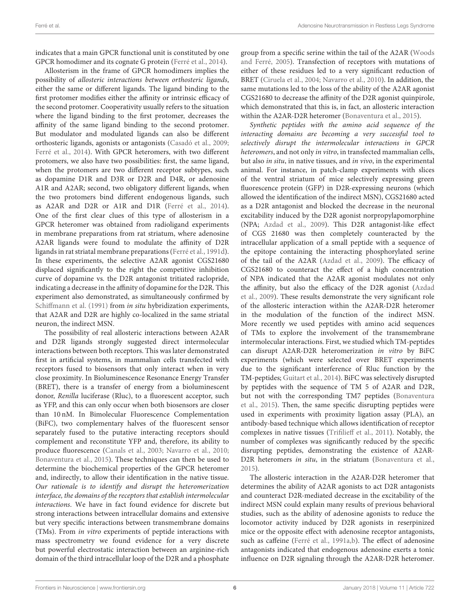indicates that a main GPCR functional unit is constituted by one GPCR homodimer and its cognate G protein [\(Ferré et al., 2014\)](#page-11-19).

Allosterism in the frame of GPCR homodimers implies the possibility of allosteric interactions between orthosteric ligands, either the same or different ligands. The ligand binding to the first protomer modifies either the affinity or intrinsic efficacy of the second protomer. Cooperativity usually refers to the situation where the ligand binding to the first protomer, decreases the affinity of the same ligand binding to the second protomer. But modulator and modulated ligands can also be different orthosteric ligands, agonists or antagonists [\(Casadó et al., 2009;](#page-10-10) [Ferré et al., 2014\)](#page-11-19). With GPCR heteromers, with two different protomers, we also have two possibilities: first, the same ligand, when the protomers are two different receptor subtypes, such as dopamine D1R and D3R or D2R and D4R, or adenosine A1R and A2AR; second, two obligatory different ligands, when the two protomers bind different endogenous ligands, such as A2AR and D2R or A1R and D1R [\(Ferré et al., 2014\)](#page-11-19). One of the first clear clues of this type of allosterism in a GPCR heteromer was obtained from radioligand experiments in membrane preparations from rat striatum, where adenosine A2AR ligands were found to modulate the affinity of D2R ligands in rat striatal membrane preparations [\(Ferré et al., 1991d\)](#page-11-20). In these experiments, the selective A2AR agonist CGS21680 displaced significantly to the right the competitive inhibition curve of dopamine vs. the D2R antagonist tritiated raclopride, indicating a decrease in the affinity of dopamine for the D2R. This experiment also demonstrated, as simultaneously confirmed by [Schiffmann et al. \(1991\)](#page-12-21) from in situ hybridization experiments, that A2AR and D2R are highly co-localized in the same striatal neuron, the indirect MSN.

The possibility of real allosteric interactions between A2AR and D2R ligands strongly suggested direct intermolecular interactions between both receptors. This was later demonstrated first in artificial systems, in mammalian cells transfected with receptors fused to biosensors that only interact when in very close proximity. In Bioluminescence Resonance Energy Transfer (BRET), there is a transfer of energy from a bioluminescent donor, Renilla luciferase (Rluc), to a fluorescent acceptor, such as YFP, and this can only occur when both biosensors are closer than 10 nM. In Bimolecular Fluorescence Complementation (BiFC), two complementary halves of the fluorescent sensor separately fused to the putative interacting receptors should complement and reconstitute YFP and, therefore, its ability to produce fluorescence [\(Canals et al., 2003;](#page-10-6) [Navarro et al., 2010;](#page-12-22) [Bonaventura et al., 2015\)](#page-10-11). These techniques can then be used to determine the biochemical properties of the GPCR heteromer and, indirectly, to allow their identification in the native tissue. Our rationale is to identify and disrupt the heteromerization interface, the domains of the receptors that establish intermolecular interactions. We have in fact found evidence for discrete but strong interactions between intracellular domains and extensive but very specific interactions between transmembrane domains (TMs). From in vitro experiments of peptide interactions with mass spectrometry we found evidence for a very discrete but powerful electrostatic interaction between an arginine-rich domain of the third intracellular loop of the D2R and a phosphate group from a specific serine within the tail of the A2AR (Woods and Ferré, [2005\)](#page-13-9). Transfection of receptors with mutations of either of these residues led to a very significant reduction of BRET [\(Ciruela et al., 2004;](#page-11-21) [Navarro et al., 2010\)](#page-12-22). In addition, the same mutations led to the loss of the ability of the A2AR agonist CGS21680 to decrease the affinity of the D2R agonist quinpirole, which demonstrated that this is, in fact, an allosteric interaction within the A2AR-D2R heteromer [\(Bonaventura et al., 2015\)](#page-10-11).

Synthetic peptides with the amino acid sequence of the interacting domains are becoming a very successful tool to selectively disrupt the intermolecular interactions in GPCR heteromers, and not only in vitro, in transfected mammalian cells, but also in situ, in native tissues, and in vivo, in the experimental animal. For instance, in patch-clamp experiments with slices of the ventral striatum of mice selectively expressing green fluorescence protein (GFP) in D2R-expressing neurons (which allowed the identification of the indirect MSN), CGS21680 acted as a D2R antagonist and blocked the decrease in the neuronal excitability induced by the D2R agonist norpropylapomorphine (NPA; [Azdad et al., 2009\)](#page-10-12). This D2R antagonist-like effect of CGS 21680 was then completely counteracted by the intracellular application of a small peptide with a sequence of the epitope containing the interacting phosphorylated serine of the tail of the A2AR [\(Azdad et al., 2009\)](#page-10-12). The efficacy of CGS21680 to counteract the effect of a high concentration of NPA indicated that the A2AR agonist modulates not only the affinity, but also the efficacy of the D2R agonist (Azdad et al., [2009\)](#page-10-12). These results demonstrate the very significant role of the allosteric interaction within the A2AR-D2R heteromer in the modulation of the function of the indirect MSN. More recently we used peptides with amino acid sequences of TMs to explore the involvement of the transmembrane intermolecular interactions. First, we studied which TM-peptides can disrupt A2AR-D2R heteromerization in vitro by BiFC experiments (which were selected over BRET experiments due to the significant interference of Rluc function by the TM-peptides; [Guitart et al., 2014\)](#page-12-23). BiFC was selectively disrupted by peptides with the sequence of TM 5 of A2AR and D2R, but not with the corresponding TM7 peptides (Bonaventura et al., [2015\)](#page-10-11). Then, the same specific disrupting peptides were used in experiments with proximity ligation assay (PLA), an antibody-based technique which allows identification of receptor complexes in native tissues [\(Trifilieff et al., 2011\)](#page-13-10). Notably, the number of complexes was significantly reduced by the specific disrupting peptides, demonstrating the existence of A2AR-D2R heteromers in situ, in the striatum [\(Bonaventura et al.,](#page-10-11) [2015\)](#page-10-11).

The allosteric interaction in the A2AR-D2R heteromer that determines the ability of A2AR agonists to act D2R antagonists and counteract D2R-mediated decrease in the excitability of the indirect MSN could explain many results of previous behavioral studies, such as the ability of adenosine agonists to reduce the locomotor activity induced by D2R agonists in reserpinized mice or the opposite effect with adenosine receptor antagonists, such as caffeine [\(Ferré et al., 1991a](#page-11-22)[,b\)](#page-11-23). The effect of adenosine antagonists indicated that endogenous adenosine exerts a tonic influence on D2R signaling through the A2AR-D2R heteromer.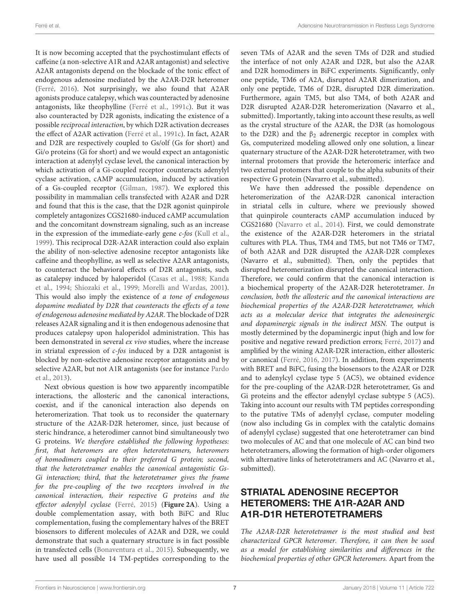It is now becoming accepted that the psychostimulant effects of caffeine (a non-selective A1R and A2AR antagonist) and selective A2AR antagonists depend on the blockade of the tonic effect of endogenous adenosine mediated by the A2AR-D2R heteromer [\(Ferré, 2016\)](#page-11-24). Not surprisingly, we also found that A2AR agonists produce catalepsy, which was counteracted by adenosine antagonists, like theophylline [\(Ferré et al., 1991c\)](#page-11-25). But it was also counteracted by D2R agonists, indicating the existence of a possible reciprocal interaction, by which D2R activation decreases the effect of A2AR activation [\(Ferré et al., 1991c\)](#page-11-25). In fact, A2AR and D2R are respectively coupled to Gs/olf (Gs for short) and Gi/o proteins (Gi for short) and we would expect an antagonistic interaction at adenylyl cyclase level, the canonical interaction by which activation of a Gi-coupled receptor counteracts adenylyl cyclase activation, cAMP accumulation, induced by activation of a Gs-coupled receptor [\(Gilman, 1987\)](#page-12-24). We explored this possibility in mammalian cells transfected with A2AR and D2R and found that this is the case, that the D2R agonist quinpirole completely antagonizes CGS21680-induced cAMP accumulation and the concomitant downstream signaling, such as an increase in the expression of the immediate-early gene  $c$ -fos [\(Kull et al.,](#page-12-25) [1999\)](#page-12-25). This reciprocal D2R-A2AR interaction could also explain the ability of non-selective adenosine receptor antagonists like caffeine and theophylline, as well as selective A2AR antagonists, to counteract the behavioral effects of D2R antagonists, such as catalepsy induced by haloperidol [\(Casas et al., 1988;](#page-10-13) Kanda et al., [1994;](#page-12-26) [Shiozaki et al., 1999;](#page-13-11) [Morelli and Wardas, 2001\)](#page-12-27). This would also imply the existence of a tone of endogenous dopamine mediated by D2R that counteracts the effects of a tone of endogenous adenosine mediated by A2AR. The blockade of D2R releases A2AR signaling and it is then endogenous adenosine that produces catalepsy upon haloperidol administration. This has been demonstrated in several ex vivo studies, where the increase in striatal expression of c-fos induced by a D2R antagonist is blocked by non-selective adenosine receptor antagonists and by selective A2AR, but not A1R antagonists (see for instance Pardo et al., [2013\)](#page-12-28).

Next obvious question is how two apparently incompatible interactions, the allosteric and the canonical interactions, coexist, and if the canonical interaction also depends on heteromerization. That took us to reconsider the quaternary structure of the A2AR-D2R heteromer, since, just because of steric hindrance, a heterodimer cannot bind simultaneously two G proteins. We therefore established the following hypotheses: first, that heteromers are often heterotetramers, heteromers of homodimers coupled to their preferred G protein; second, that the heterotetramer enables the canonical antagonistic Gs-Gi interaction; third, that the heterotetramer gives the frame for the pre-coupling of the two receptors involved in the canonical interaction, their respective G proteins and the effector adenylyl cyclase [\(Ferré, 2015\)](#page-11-26) (**[Figure 2A](#page-7-0)**). Using a double complementation assay, with both BiFC and Rluc complementation, fusing the complementary halves of the BRET biosensors to different molecules of A2AR and D2R, we could demonstrate that such a quaternary structure is in fact possible in transfected cells [\(Bonaventura et al., 2015\)](#page-10-11). Subsequently, we have used all possible 14 TM-peptides corresponding to the seven TMs of A2AR and the seven TMs of D2R and studied the interface of not only A2AR and D2R, but also the A2AR and D2R homodimers in BiFC experiments. Significantly, only one peptide, TM6 of A2A, disrupted A2AR dimerization, and only one peptide, TM6 of D2R, disrupted D2R dimerization. Furthermore, again TM5, but also TM4, of both A2AR and D2R disrupted A2AR-D2R heteromerization (Navarro et al., submitted). Importantly, taking into account these results, as well as the crystal structure of the A2AR, the D3R (as homologous to the D2R) and the  $β_2$  adrenergic receptor in complex with Gs, computerized modeling allowed only one solution, a linear quaternary structure of the A2AR-D2R heterotetramer, with two internal protomers that provide the heteromeric interface and two external protomers that couple to the alpha subunits of their respective G protein (Navarro et al., submitted).

We have then addressed the possible dependence on heteromerization of the A2AR-D2R canonical interaction in striatal cells in culture, where we previously showed that quinpirole counteracts cAMP accumulation induced by CGS21680 [\(Navarro et al., 2014\)](#page-12-29). First, we could demonstrate the existence of the A2AR-D2R heteromers in the striatal cultures with PLA. Thus, TM4 and TM5, but not TM6 or TM7, of both A2AR and D2R disrupted the A2AR-D2R complexes (Navarro et al., submitted). Then, only the peptides that disrupted heteromerization disrupted the canonical interaction. Therefore, we could confirm that the canonical interaction is a biochemical property of the A2AR-D2R heterotetramer. In conclusion, both the allosteric and the canonical interactions are biochemical properties of the A2AR-D2R heterotetramer, which acts as a molecular device that integrates the adenosinergic and dopaminergic signals in the indirect MSN. The output is mostly determined by the dopaminergic input (high and low for positive and negative reward prediction errors; [Ferré, 2017\)](#page-11-27) and amplified by the wining A2AR-D2R interaction, either allosteric or canonical [\(Ferré, 2016,](#page-11-24) [2017\)](#page-11-27). In addition, from experiments with BRET and BiFC, fusing the biosensors to the A2AR or D2R and to adenylcyl cyclase type 5 (AC5), we obtained evidence for the pre-coupling of the A2AR-D2R heterotetramer, Gs and Gi proteins and the effector adenylyl cyclase subtype 5 (AC5). Taking into account our results with TM peptides corresponding to the putative TMs of adenylyl cyclase, computer modeling (now also including Gs in complex with the catalytic domains of adenylyl cyclase) suggested that one heterotetramer can bind two molecules of AC and that one molecule of AC can bind two heterotetramers, allowing the formation of high-order oligomers with alternative links of heterotetramers and AC (Navarro et al., submitted).

# STRIATAL ADENOSINE RECEPTOR HETEROMERS: THE A1R-A2AR AND A1R-D1R HETEROTETRAMERS

The A2AR-D2R heterotetramer is the most studied and best characterized GPCR heteromer. Therefore, it can then be used as a model for establishing similarities and differences in the biochemical properties of other GPCR heteromers. Apart from the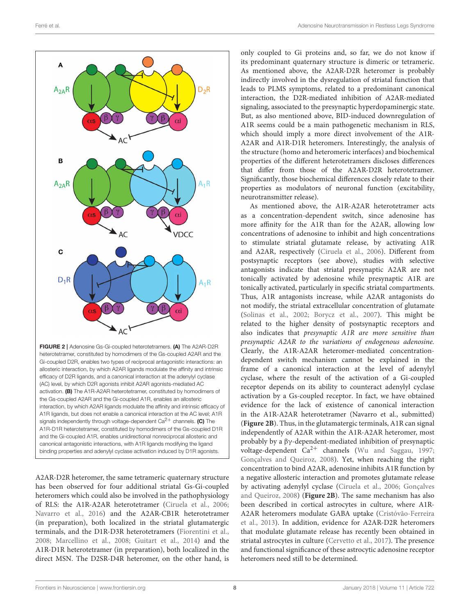

<span id="page-7-0"></span>heterotetramer, constituted by homodimers of the Gs-coupled A2AR and the Gi-coupled D2R, enables two types of reciprocal antagonistic interactions: an allosteric interaction, by which A2AR ligands modulate the affinity and intrinsic efficacy of D2R ligands, and a canonical interaction at the adenylyl cyclase (AC) level, by which D2R agonists inhibit A2AR agonists-mediated AC activation. (B) The A1R-A2AR heterotetramer, constituted by homodimers of the Gs-coupled A2AR and the Gi-coupled A1R, enables an allosteric interaction, by which A2AR ligands modulate the affinity and intrinsic efficacy of A1R ligands, but does not enable a canonical interaction at the AC level; A1R signals independently through voltage-dependent  $Ca^{2+}$  channels. (C) The A1R-D1R heterotetramer, constituted by homodimers of the Gs-coupled D1R and the Gi-coupled A1R, enables unidirectional nonreciprocal allosteric and canonical antagonistic interactions, with A1R ligands modifying the ligand binding properties and adenylyl cyclase activation induced by D1R agonists.

A2AR-D2R heteromer, the same tetrameric quaternary structure has been observed for four additional striatal Gs-Gi-coupled heteromers which could also be involved in the pathophysiology of RLS: the A1R-A2AR heterotetramer [\(Ciruela et al., 2006;](#page-11-16) [Navarro et al., 2016\)](#page-12-30) and the A2AR-CB1R heterotetramer (in preparation), both localized in the striatal glutamatergic terminals, and the D1R-D3R heterotetramers [\(Fiorentini et al.,](#page-11-28) [2008;](#page-11-28) [Marcellino et al., 2008;](#page-12-31) [Guitart et al., 2014\)](#page-12-23) and the A1R-D1R heterotetramer (in preparation), both localized in the direct MSN. The D2SR-D4R heteromer, on the other hand, is

only coupled to Gi proteins and, so far, we do not know if its predominant quaternary structure is dimeric or tetrameric. As mentioned above, the A2AR-D2R heteromer is probably indirectly involved in the dysregulation of striatal function that leads to PLMS symptoms, related to a predominant canonical interaction, the D2R-mediated inhibition of A2AR-mediated signaling, associated to the presynaptic hyperdopaminergic state. But, as also mentioned above, BID-induced downregulation of A1R seems could be a main pathogenetic mechanism in RLS, which should imply a more direct involvement of the A1R-A2AR and A1R-D1R heteromers. Interestingly, the analysis of the structure (homo and heteromeric interfaces) and biochemical properties of the different heterotetramers discloses differences that differ from those of the A2AR-D2R heterotetramer. Significantly, those biochemical differences closely relate to their properties as modulators of neuronal function (excitability, neurotransmitter release).

As mentioned above, the A1R-A2AR heterotetramer acts as a concentration-dependent switch, since adenosine has more affinity for the A1R than for the A2AR, allowing low concentrations of adenosine to inhibit and high concentrations to stimulate striatal glutamate release, by activating A1R and A2AR, respectively [\(Ciruela et al., 2006\)](#page-11-16). Different from postsynaptic receptors (see above), studies with selective antagonists indicate that striatal presynaptic A2AR are not tonically activated by adenosine while presynaptic A1R are tonically activated, particularly in specific striatal compartments. Thus, A1R antagonists increase, while A2AR antagonists do not modify, the striatal extracellular concentration of glutamate [\(Solinas et al., 2002;](#page-13-4) [Borycz et al., 2007\)](#page-10-8). This might be related to the higher density of postsynaptic receptors and also indicates that presynaptic A1R are more sensitive than presynaptic A2AR to the variations of endogenous adenosine. Clearly, the A1R-A2AR heteromer-mediated concentrationdependent switch mechanism cannot be explained in the frame of a canonical interaction at the level of adenylyl cyclase, where the result of the activation of a Gi-coupled receptor depends on its ability to counteract adenylyl cyclase activation by a Gs-coupled receptor. In fact, we have obtained evidence for the lack of existence of canonical interaction in the A1R-A2AR heterotetramer (Navarro et al., submitted) (**[Figure 2B](#page-7-0)**). Thus, in the glutamatergic terminals, A1R can signal independently of A2AR within the A1R-A2AR heteromer, most probably by a βγ-dependent-mediated inhibition of presynaptic voltage-dependent  $Ca^{2+}$  channels [\(Wu and Saggau, 1997;](#page-13-2) [Gonçalves and Queiroz, 2008\)](#page-12-32). Yet, when reaching the right concentration to bind A2AR, adenosine inhibits A1R function by a negative allosteric interaction and promotes glutamate release by activating adenylyl cyclase [\(Ciruela et al., 2006;](#page-11-16) Gonçalves and Queiroz, [2008\)](#page-12-32) (**[Figure 2B](#page-7-0)**). The same mechanism has also been described in cortical astrocytes in culture, where A1R-A2AR heteromers modulate GABA uptake (Cristóvão-Ferreira et al., [2013\)](#page-11-29). In addition, evidence for A2AR-D2R heteromers that modulate glutamate release has recently been obtained in striatal astrocytes in culture [\(Cervetto et al., 2017\)](#page-11-30). The presence and functional significance of these astrocytic adenosine receptor heteromers need still to be determined.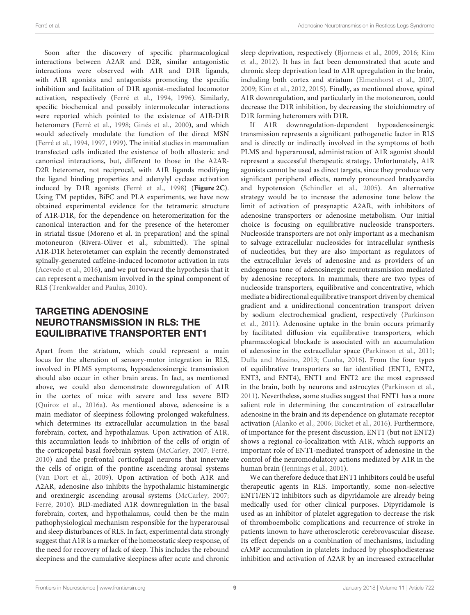Soon after the discovery of specific pharmacological interactions between A2AR and D2R, similar antagonistic interactions were observed with A1R and D1R ligands, with A1R agonists and antagonists promoting the specific inhibition and facilitation of D1R agonist-mediated locomotor activation, respectively [\(Ferré et al., 1994,](#page-11-31) [1996\)](#page-11-14). Similarly, specific biochemical and possibly intermolecular interactions were reported which pointed to the existence of A1R-D1R heteromers [\(Ferré et al., 1998;](#page-11-32) [Ginés et al., 2000\)](#page-12-4), and which would selectively modulate the function of the direct MSN [\(Ferré et al., 1994,](#page-11-31) [1997,](#page-11-9) [1999\)](#page-11-33). The initial studies in mammalian transfected cells indicated the existence of both allosteric and canonical interactions, but, different to those in the A2AR-D2R heteromer, not reciprocal, with A1R ligands modifying the ligand binding properties and adenylyl cyclase activation induced by D1R agonists [\(Ferré et al., 1998\)](#page-11-32) (**[Figure 2C](#page-7-0)**). Using TM peptides, BiFC and PLA experiments, we have now obtained experimental evidence for the tetrameric structure of A1R-D1R, for the dependence on heteromerization for the canonical interaction and for the presence of the heteromer in striatal tissue (Moreno et al. in preparation) and the spinal motoneuron (Rivera-Oliver et al., submitted). The spinal A1R-D1R heterotetamer can explain the recently demonstrated spinally-generated caffeine-induced locomotor activation in rats [\(Acevedo et al., 2016\)](#page-10-14), and we put forward the hypothesis that it can represent a mechanism involved in the spinal component of RLS [\(Trenkwalder and Paulus, 2010\)](#page-13-12).

# TARGETING ADENOSINE NEUROTRANSMISSION IN RLS: THE EQUILIBRATIVE TRANSPORTER ENT1

Apart from the striatum, which could represent a main locus for the alteration of sensory-motor integration in RLS, involved in PLMS symptoms, hypoadenosinergic transmission should also occur in other brain areas. In fact, as mentioned above, we could also demonstrate downregulation of A1R in the cortex of mice with severe and less severe BID [\(Quiroz et al., 2016a\)](#page-12-9). As mentioned above, adenosine is a main mediator of sleepiness following prolonged wakefulness, which determines its extracellular accumulation in the basal forebrain, cortex, and hypothalamus. Upon activation of A1R, this accumulation leads to inhibition of the cells of origin of the corticopetal basal forebrain system [\(McCarley, 2007;](#page-12-6) [Ferré,](#page-11-13) [2010\)](#page-11-13) and the prefrontal corticofugal neurons that innervate the cells of origin of the pontine ascending arousal systems [\(Van Dort et al., 2009\)](#page-13-13). Upon activation of both A1R and A2AR, adenosine also inhibits the hypothalamic histaminergic and orexinergic ascending arousal systems [\(McCarley, 2007;](#page-12-6) [Ferré, 2010\)](#page-11-13). BID-mediated A1R downregulation in the basal forebrain, cortex, and hypothalamus, could then be the main pathophysiological mechanism responsible for the hyperarousal and sleep disturbances of RLS. In fact, experimental data strongly suggest that A1R is a marker of the homeostatic sleep response, of the need for recovery of lack of sleep. This includes the rebound sleepiness and the cumulative sleepiness after acute and chronic sleep deprivation, respectively [\(Bjorness et al., 2009,](#page-10-15) [2016;](#page-10-16) Kim et al., [2012\)](#page-12-33). It has in fact been demonstrated that acute and chronic sleep deprivation lead to A1R upregulation in the brain, including both cortex and striatum [\(Elmenhorst et al., 2007,](#page-11-34) [2009;](#page-11-35) [Kim et al., 2012,](#page-12-33) [2015\)](#page-12-34). Finally, as mentioned above, spinal A1R downregulation, and particularly in the motoneuron, could decrease the D1R inhibition, by decreasing the stoichiometry of D1R forming heteromers with D1R.

If A1R downregulation-dependent hypoadenosinergic transmission represents a significant pathogenetic factor in RLS and is directly or indirectly involved in the symptoms of both PLMS and hyperarousal, administration of A1R agonist should represent a successful therapeutic strategy. Unfortunately, A1R agonists cannot be used as direct targets, since they produce very significant peripheral effects, namely pronounced bradycardia and hypotension [\(Schindler et al., 2005\)](#page-12-35). An alternative strategy would be to increase the adenosine tone below the limit of activation of presynaptic A2AR, with inhibitors of adenosine transporters or adenosine metabolism. Our initial choice is focusing on equilibrative nucleoside transporters. Nucleoside transporters are not only important as a mechanism to salvage extracellular nucleosides for intracellular synthesis of nucleotides, but they are also important as regulators of the extracellular levels of adenosine and as providers of an endogenous tone of adenosinergic neurotransmission mediated by adenosine receptors. In mammals, there are two types of nucleoside transporters, equilibrative and concentrative, which mediate a bidirectional equilibrative transport driven by chemical gradient and a unidirectional concentration transport driven by sodium electrochemical gradient, respectively (Parkinson et al., [2011\)](#page-12-14). Adenosine uptake in the brain occurs primarily by facilitated diffusion via equilibrative transporters, which pharmacological blockade is associated with an accumulation of adenosine in the extracellular space [\(Parkinson et al., 2011;](#page-12-14) [Dulla and Masino, 2013;](#page-11-17) [Cunha, 2016\)](#page-11-12). From the four types of equilibrative transporters so far identified (ENT1, ENT2, ENT3, and ENT4), ENT1 and ENT2 are the most expressed in the brain, both by neurons and astrocytes [\(Parkinson et al.,](#page-12-14) [2011\)](#page-12-14). Nevertheless, some studies suggest that ENT1 has a more salient role in determining the concentration of extracellular adenosine in the brain and its dependence on glutamate receptor activation [\(Alanko et al., 2006;](#page-10-17) [Bicket et al., 2016\)](#page-10-18). Furthermore, of importance for the present discussion, ENT1 (but not ENT2) shows a regional co-localization with A1R, which supports an important role of ENT1-mediated transport of adenosine in the control of the neuromodulatory actions mediated by A1R in the human brain [\(Jennings et al., 2001\)](#page-12-36).

We can therefore deduce that ENT1 inhibitors could be useful therapeutic agents in RLS. Importantly, some non-selective ENT1/ENT2 inhibitors such as dipyridamole are already being medically used for other clinical purposes. Dipyridamole is used as an inhibitor of platelet aggregation to decrease the risk of thromboembolic complications and recurrence of stroke in patients known to have atherosclerotic cerebrovascular disease. Its effect depends on a combination of mechanisms, including cAMP accumulation in platelets induced by phosphodiesterase inhibition and activation of A2AR by an increased extracellular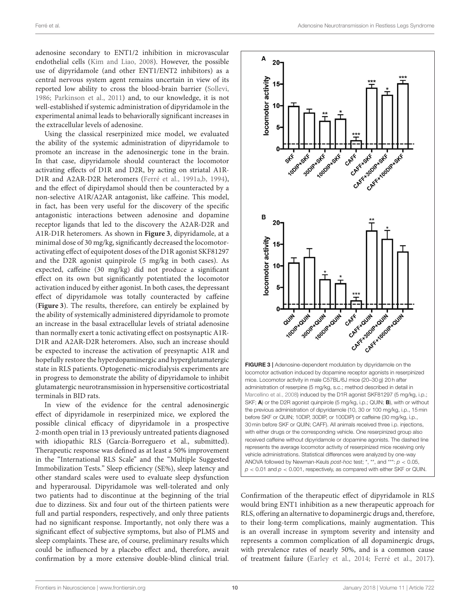adenosine secondary to ENT1/2 inhibition in microvascular endothelial cells [\(Kim and Liao, 2008\)](#page-12-37). However, the possible use of dipyridamole (and other ENT1/ENT2 inhibitors) as a central nervous system agent remains uncertain in view of its reported low ability to cross the blood-brain barrier [\(Sollevi,](#page-13-14) [1986;](#page-13-14) [Parkinson et al., 2011\)](#page-12-14) and, to our knowledge, it is not well-established if systemic administration of dipyridamole in the experimental animal leads to behaviorally significant increases in the extracellular levels of adenosine.

Using the classical reserpinized mice model, we evaluated the ability of the systemic administration of dipyridamole to promote an increase in the adenosinergic tone in the brain. In that case, dipyridamole should counteract the locomotor activating effects of D1R and D2R, by acting on striatal A1R-D1R and A2AR-D2R heteromers [\(Ferré et al., 1991a,](#page-11-22)[b,](#page-11-23) [1994\)](#page-11-31), and the effect of dipirydamol should then be counteracted by a non-selective A1R/A2AR antagonist, like caffeine. This model, in fact, has been very useful for the discovery of the specific antagonistic interactions between adenosine and dopamine receptor ligands that led to the discovery the A2AR-D2R and A1R-D1R heteromers. As shown in **[Figure 3](#page-9-0)**, dipyridamole, at a minimal dose of 30 mg/kg, significantly decreased the locomotoractivating effect of equipotent doses of the D1R agonist SKF81297 and the D2R agonist quinpirole (5 mg/kg in both cases). As expected, caffeine (30 mg/kg) did not produce a significant effect on its own but significantly potentiated the locomotor activation induced by either agonist. In both cases, the depressant effect of dipyridamole was totally counteracted by caffeine (**[Figure 3](#page-9-0)**). The results, therefore, can entirely be explained by the ability of systemically administered dipyridamole to promote an increase in the basal extracellular levels of striatal adenosine than normally exert a tonic activating effect on postsynaptic A1R-D1R and A2AR-D2R heteromers. Also, such an increase should be expected to increase the activation of presynaptic A1R and hopefully restore the hyperdopaminergic and hyperglutamatergic state in RLS patients. Optogenetic-microdialysis experiments are in progress to demonstrate the ability of dipyridamole to inhibit glutamatergic neurotransmission in hypersensitive corticostriatal terminals in BID rats.

In view of the evidence for the central adenosinergic effect of dipyridamole in reserpinized mice, we explored the possible clinical efficacy of dipyridamole in a prospective 2-month open trial in 13 previously untreated patients diagnosed with idiopathic RLS (García-Borreguero et al., submitted). Therapeutic response was defined as at least a 50% improvement in the "International RLS Scale" and the "Multiple Suggested Immobilization Tests." Sleep efficiency (SE%), sleep latency and other standard scales were used to evaluate sleep dysfunction and hyperarousal. Dipyridamole was well-tolerated and only two patients had to discontinue at the beginning of the trial due to dizziness. Six and four out of the thirteen patients were full and partial responders, respectively, and only three patients had no significant response. Importantly, not only there was a significant effect of subjective symptoms, but also of PLMS and sleep complaints. These are, of course, preliminary results which could be influenced by a placebo effect and, therefore, await confirmation by a more extensive double-blind clinical trial.



<span id="page-9-0"></span>Confirmation of the therapeutic effect of dipyridamole in RLS would bring ENT1 inhibition as a new therapeutic approach for RLS, offering an alternative to dopaminergic drugs and, therefore, to their long-term complications, mainly augmentation. This is an overall increase in symptom severity and intensity and represents a common complication of all dopaminergic drugs, with prevalence rates of nearly 50%, and is a common cause of treatment failure [\(Earley et al., 2014;](#page-11-2) [Ferré et al., 2017\)](#page-11-36).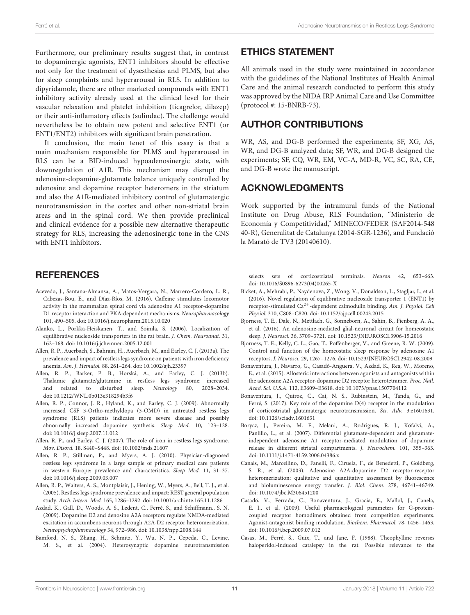Furthermore, our preliminary results suggest that, in contrast to dopaminergic agonists, ENT1 inhibitors should be effective not only for the treatment of dysesthesias and PLMS, but also for sleep complaints and hyperarousal in RLS. In addition to dipyridamole, there are other marketed compounds with ENT1 inhibitory activity already used at the clinical level for their vascular relaxation and platelet inhibition (ticagrelor, dilazep) or their anti-inflamatory effects (sulindac). The challenge would nevertheless be to obtain new potent and selective ENT1 (or ENT1/ENT2) inhibitors with significant brain penetration.

It conclusion, the main tenet of this essay is that a main mechanism responsible for PLMS and hyperarousal in RLS can be a BID-induced hypoadenosinergic state, with downregulation of A1R. This mechanism may disrupt the adenosine-dopamine-glutamate balance uniquely controlled by adenosine and dopamine receptor heteromers in the striatum and also the A1R-mediated inhibitory control of glutamatergic neurotransmission in the cortex and other non-striatal brain areas and in the spinal cord. We then provide preclinical and clinical evidence for a possible new alternative therapeutic strategy for RLS, increasing the adenosinergic tone in the CNS with ENT1 inhibitors.

### **REFERENCES**

- <span id="page-10-14"></span>Acevedo, J., Santana-Almansa, A., Matos-Vergara, N., Marrero-Cordero, L. R., Cabezas-Bou, E., and Díaz-Ríos, M. (2016). Caffeine stimulates locomotor activity in the mammalian spinal cord via adenosine A1 receptor-dopamine D1 receptor interaction and PKA-dependent mechanisms. Neuropharmacology 101, 490–505. doi: [10.1016/j.neuropharm.2015.10.020](https://doi.org/10.1016/j.neuropharm.2015.10.020)
- <span id="page-10-17"></span>Alanko, L., Porkka-Heiskanen, T., and Soinila, S. (2006). Localization of equilibrative nucleoside transporters in the rat brain. J. Chem. Neuroanat. 31, 162–168. doi: [10.1016/j.jchemneu.2005.12.001](https://doi.org/10.1016/j.jchemneu.2005.12.001)
- <span id="page-10-5"></span>Allen, R. P., Auerbach, S., Bahrain, H., Auerbach, M., and Earley, C. J. (2013a). The prevalence and impact of restless legs syndrome on patients with iron deficiency anemia. Am. J. Hematol. 88, 261–264. doi: [10.1002/ajh.23397](https://doi.org/10.1002/ajh.23397)
- <span id="page-10-3"></span>Allen, R. P., Barker, P. B., Horská, A., and Earley, C. J. (2013b). Thalamic glutamate/glutamine in restless legs syndrome: increased and related to disturbed sleep. Neurology 80, 2028–2034. doi: [10.1212/WNL.0b013e318294b3f6](https://doi.org/10.1212/WNL.0b013e318294b3f6)
- <span id="page-10-2"></span>Allen, R. P., Connor, J. R., Hyland, K., and Earley, C. J. (2009). Abnormally increased CSF 3-Ortho-methyldopa (3-OMD) in untreated restless legs syndrome (RLS) patients indicates more severe disease and possibly abnormally increased dopamine synthesis. Sleep Med. 10, 123–128. doi: [10.1016/j.sleep.2007.11.012](https://doi.org/10.1016/j.sleep.2007.11.012)
- <span id="page-10-4"></span>Allen, R. P., and Earley, C. J. (2007). The role of iron in restless legs syndrome. Mov. Disord. 18, S440–S448. doi: [10.1002/mds.21607](https://doi.org/10.1002/mds.21607)
- <span id="page-10-1"></span>Allen, R. P., Stillman, P., and Myers, A. J. (2010). Physician-diagnosed restless legs syndrome in a large sample of primary medical care patients in western Europe: prevalence and characteristics. Sleep Med. 11, 31–37. doi: [10.1016/j.sleep.2009.03.007](https://doi.org/10.1016/j.sleep.2009.03.007)
- <span id="page-10-0"></span>Allen, R. P., Walters, A. S., Montplaisir, J., Hening, W., Myers, A., Bell, T. J., et al. (2005). Restless legs syndrome prevalence and impact: REST general population study. Arch. Intern. Med. 165, 1286–1292. doi: [10.1001/archinte.165.11.1286](https://doi.org/10.1001/archinte.165.11.1286)
- <span id="page-10-12"></span>Azdad, K., Gall, D., Woods, A. S., Ledent, C., Ferré, S., and Schiffmann., S. N. (2009). Dopamine D2 and denosine A2A receptors regulate NMDA-mediated excitation in accumbens neurons through A2A-D2 receptor heteromerization. Neuropsychopharmacology 34, 972–986. doi: [10.1038/npp.2008.144](https://doi.org/10.1038/npp.2008.144)
- <span id="page-10-7"></span>Bamford, N. S., Zhang, H., Schmitz, Y., Wu, N. P., Cepeda, C., Levine, M. S., et al. (2004). Heterosynaptic dopamine neurotransmission

## ETHICS STATEMENT

All animals used in the study were maintained in accordance with the guidelines of the National Institutes of Health Animal Care and the animal research conducted to perform this study was approved by the NIDA IRP Animal Care and Use Committee (protocol #: 15-BNRB-73).

### AUTHOR CONTRIBUTIONS

WR, AS, and DG-B performed the experiments; SF, XG, AS, WR, and DG-B analyzed data; SF, WR, and DG-B designed the experiments; SF, CQ, WR, EM, VC-A, MD-R, VC, SC, RA, CE, and DG-B wrote the manuscript.

### ACKNOWLEDGMENTS

Work supported by the intramural funds of the National Institute on Drug Abuse, RLS Foundation, "Ministerio de Economía y Competitividad," MINECO/FEDER (SAF2014-548 40-R), Generalitat de Catalunya (2014-SGR-1236), and Fundació la Marató de TV3 (20140610).

selects sets of corticostriatal terminals. Neuron 42, 653–663. doi: [10.1016/S0896-6273\(04\)00265-X](https://doi.org/10.1016/S0896-6273(04)00265-X)

- <span id="page-10-18"></span>Bicket, A., Mehrabi, P., Naydenova, Z., Wong, V., Donaldson, L., Stagljar, I., et al. (2016). Novel regulation of equlibrative nucleoside transporter 1 (ENT1) by receptor-stimulated Ca2+-dependent calmodulin binding. Am. J. Physiol. Cell Physiol. 310, C808–C820. doi: [10.1152/ajpcell.00243.2015](https://doi.org/10.1152/ajpcell.00243.2015)
- <span id="page-10-16"></span>Bjorness, T. E., Dale, N., Mettlach, G., Sonneborn, A., Sahin, B., Fienberg, A. A., et al. (2016). An adenosine-mediated glial-neuronal circuit for homeostatic sleep. J. Neurosci. 36, 3709–3721. doi: [10.1523/JNEUROSCI.3906-15.2016](https://doi.org/10.1523/JNEUROSCI.3906-15.2016)
- <span id="page-10-15"></span>Bjorness, T. E., Kelly, C. L., Gao, T., Poffenberger, V., and Greene, R. W. (2009). Control and function of the homeostatic sleep response by adenosine A1 receptors. J. Neurosci. 29, 1267–1276. doi: [10.1523/JNEUROSCI.2942-08.2009](https://doi.org/10.1523/JNEUROSCI.2942-08.2009)
- <span id="page-10-11"></span>Bonaventura, J., Navarro, G., Casadó-Anguera, V., Azdad, K., Rea, W., Moreno, E., et al. (2015). Allosteric interactions between agonists and antagonists within the adenosine A2A receptor-dopamine D2 receptor heterotetramer. Proc. Natl. Acad. Sci. U.S.A. 112, E3609–E3618. doi: [10.1073/pnas.1507704112](https://doi.org/10.1073/pnas.1507704112)
- <span id="page-10-9"></span>Bonaventura, J., Quiroz, C., Cai, N. S., Rubinstein, M., Tanda, G., and Ferré, S. (2017). Key role of the dopamine D(4) receptor in the modulation of corticostriatal glutamatergic neurotransmission. Sci. Adv. 3:e1601631. doi: [10.1126/sciadv.1601631](https://doi.org/10.1126/sciadv.1601631)
- <span id="page-10-8"></span>Borycz, J., Pereira, M. F., Melani, A., Rodrigues, R. J., Köfalvi, A., Panlilio, L., et al. (2007). Differential glutamate-dependent and glutamateindependent adenosine A1 receptor-mediated modulation of dopamine release in different striatal compartments. J. Neurochem. 101, 355–363. doi: [10.1111/j.1471-4159.2006.04386.x](https://doi.org/10.1111/j.1471-4159.2006.04386.x)
- <span id="page-10-6"></span>Canals, M., Marcellino, D., Fanelli, F., Ciruela, F., de Benedetti, P., Goldberg, S. R., et al. (2003). Adenosine A2A-dopamine D2 receptor-receptor heteromerization: qualitative and quantitative assessment by fluorescence and bioluminescence energy transfer. J. Biol. Chem. 278, 46741–46749. doi: [10.1074/jbc.M306451200](https://doi.org/10.1074/jbc.M306451200)
- <span id="page-10-10"></span>Casadó, V., Ferrada, C., Bonaventura, J., Gracia, E., Mallol, J., Canela, E. I., et al. (2009). Useful pharmacological parameters for G-proteincoupled receptor homodimers obtained from competition experiments. Agonist-antagonist binding modulation. Biochem. Pharmacol. 78, 1456–1463. doi: [10.1016/j.bcp.2009.07.012](https://doi.org/10.1016/j.bcp.2009.07.012)
- <span id="page-10-13"></span>Casas, M., Ferré, S., Guix, T., and Jane, F. (1988). Theophylline reverses haloperidol-induced catalepsy in the rat. Possible relevance to the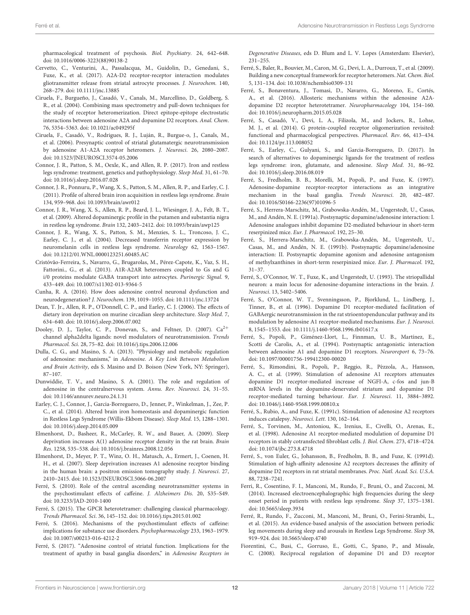pharmacological treatment of psychosis. Biol. Psychiatry. 24, 642–648. doi: [10.1016/0006-3223\(88\)90138-2](https://doi.org/10.1016/0006-3223(88)90138-2)

- <span id="page-11-30"></span>Cervetto, C., Venturini, A., Passalacqua, M., Guidolin, D., Genedani, S., Fuxe, K., et al. (2017). A2A-D2 receptor-receptor interaction modulates gliotransmitter release from striatal astrocyte processes. J. Neurochem. 140, 268–279. doi: [10.1111/jnc.13885](https://doi.org/10.1111/jnc.13885)
- <span id="page-11-21"></span>Ciruela, F., Burgueño, J., Casadó, V., Canals, M., Marcellino, D., Goldberg, S. R., et al. (2004). Combining mass spectrometry and pull-down techniques for the study of receptor heteromerization. Direct epitope-epitope electrostatic interactions between adenosine A2A and dopamine D2 receptors. Anal. Chem. 76, 5354–5363. doi: [10.1021/ac049295f](https://doi.org/10.1021/ac049295f)
- <span id="page-11-16"></span>Ciruela, F., Casadó, V., Rodrigues, R. J., Luján, R., Burgue-o, J., Canals, M., et al. (2006). Presynaptic control of striatal glutamatergic neurotransmission by adenosine A1-A2A receptor heteromers. J. Neurosci. 26, 2080–2087. doi: [10.1523/JNEUROSCI.3574-05.2006](https://doi.org/10.1523/JNEUROSCI.3574-05.2006)
- <span id="page-11-6"></span>Connor, J. R., Patton, S. M., Oexle, K., and Allen, R. P. (2017). Iron and restless legs syndrome: treatment, genetics and pathophysiology. Sleep Med. 31, 61–70. doi: [10.1016/j.sleep.2016.07.028](https://doi.org/10.1016/j.sleep.2016.07.028)
- <span id="page-11-5"></span>Connor, J. R., Ponnuru, P., Wang, X. S., Patton, S. M., Allen, R. P., and Earley, C. J. (2011). Profile of altered brain iron acquisition in restless legs syndrome. Brain 134, 959–968. doi: [10.1093/brain/awr012](https://doi.org/10.1093/brain/awr012)
- <span id="page-11-3"></span>Connor, J. R., Wang, X. S., Allen, R. P., Beard, J. L., Wiesinger, J. A., Felt, B. T., et al. (2009). Altered dopaminergic profile in the putamen and substantia nigra in restless leg syndrome. Brain 132, 2403–2412. doi: [10.1093/brain/awp125](https://doi.org/10.1093/brain/awp125)
- <span id="page-11-7"></span>Connor, J. R., Wang, X. S., Patton, S. M., Menzies, S. L., Troncoso, J. C., Earley, C. J., et al. (2004). Decreased transferrin receptor expression by neuromelanin cells in restless legs syndrome. Neurology 62, 1563–1567. doi: [10.1212/01.WNL.0000123251.60485.AC](https://doi.org/10.1212/01.WNL.0000123251.60485.AC)
- <span id="page-11-29"></span>Cristóvão-Ferreira, S., Navarro, G., Brugarolas, M., Pérez-Capote, K., Vaz, S. H., Fattorini., G., et al. (2013). A1R-A2AR heteromers coupled to Gs and G i/0 proteins modulate GABA transport into astrocytes. Purinergic Signal. 9, 433–449. doi: [10.1007/s11302-013-9364-5](https://doi.org/10.1007/s11302-013-9364-5)
- <span id="page-11-12"></span>Cunha, R. A. (2016). How does adenosine control neuronal dysfunction and neurodegeneration? J. Neurochem. 139, 1019–1055. doi: [10.1111/jnc.13724](https://doi.org/10.1111/jnc.13724)
- <span id="page-11-8"></span>Dean, T. Jr., Allen, R. P., O'Donnell, C. P., and Earley, C. J. (2006). The effects of dietary iron deprivation on murine circadian sleep architecture. Sleep Med. 7, 634–640. doi: [10.1016/j.sleep.2006.07.002](https://doi.org/10.1016/j.sleep.2006.07.002)
- <span id="page-11-4"></span>Dooley, D. J., Taylor, C. P., Donevan, S., and Feltner, D. (2007). Ca<sup>2+</sup> channel alpha2delta ligands: novel modulators of neurotransmission. Trends Pharmacol. Sci. 28, 75–82. doi: [10.1016/j.tips.2006.12.006](https://doi.org/10.1016/j.tips.2006.12.006)
- <span id="page-11-17"></span>Dulla, C. G., and Masino, S. A. (2013). "Physiology and metabolic regulation of adenosine: mechanisms," in Adenosine. A Key Link Between Metabolism and Brain Activity, eds S. Masino and D. Boison (New York, NY: Springer), 87–107.
- <span id="page-11-11"></span>Dunwiddie, T. V., and Masino, S. A. (2001). The role and regulation of adenosine in the centralnervous system. Annu. Rev. Neurosci. 24, 31–55. doi: [10.1146/annurev.neuro.24.1.31](https://doi.org/10.1146/annurev.neuro.24.1.31)
- <span id="page-11-2"></span>Earley, C. J., Connor, J., Garcia-Borreguero, D., Jenner, P., Winkelman, J., Zee, P. C., et al. (2014). Altered brain iron homeostasis and dopaminergic function in Restless Legs Syndrome (Willis-Ekbom Disease). Sleep Med. 15, 1288–1301. doi: [10.1016/j.sleep.2014.05.009](https://doi.org/10.1016/j.sleep.2014.05.009)
- <span id="page-11-35"></span>Elmenhorst, D., Basheer, R., McCarley, R. W., and Bauer, A. (2009). Sleep deprivation increases A(1) adenosine receptor density in the rat brain. Brain Res. 1258, 535–538. doi: [10.1016/j.brainres.2008.12.056](https://doi.org/10.1016/j.brainres.2008.12.056)
- <span id="page-11-34"></span>Elmenhorst, D., Meyer, P. T., Winz, O. H., Matusch, A., Ermert, J., Coenen, H. H., et al. (2007). Sleep deprivation increases A1 adenosine receptor binding in the human brain: a positron emission tomography study. J. Neurosci. 27, 2410–2415. doi: [10.1523/JNEUROSCI.5066-06.2007](https://doi.org/10.1523/JNEUROSCI.5066-06.2007)
- <span id="page-11-13"></span>Ferré, S. (2010). Role of the central ascending neurotransmitter systems in the psychostimulant effects of caffeine. J. Alzheimers Dis. 20, S35–S49. doi: [10.3233/JAD-2010-1400](https://doi.org/10.3233/JAD-2010-1400)
- <span id="page-11-26"></span>Ferré, S. (2015). The GPCR heterotetramer: challenging classical pharmacology. Trends Pharmacol. Sci. 36, 145–152. doi: [10.1016/j.tips.2015.01.002](https://doi.org/10.1016/j.tips.2015.01.002)
- <span id="page-11-24"></span>Ferré, S. (2016). Mechanisms of the psychostimulant effects of caffeine: implications for substance use disorders. Psychopharmacology 233, 1963–1979. doi: [10.1007/s00213-016-4212-2](https://doi.org/10.1007/s00213-016-4212-2)
- <span id="page-11-27"></span>Ferré, S. (2017). "Adenosine control of striatal function. Implications for the treatment of apathy in basal ganglia disorders," in Adenosine Receptors in

Degenerative Diseases, eds D. Blum and L. V. Lopes (Amsterdam: Elsevier), 231–255.

- <span id="page-11-18"></span>Ferré, S., Baler, R., Bouvier, M., Caron, M. G., Devi, L. A., Durroux, T., et al. (2009). Building a new conceptual framework for receptor heteromers. Nat. Chem. Biol. 5, 131–134. doi: [10.1038/nchembio0309-131](https://doi.org/10.1038/nchembio0309-131)
- <span id="page-11-10"></span>Ferré, S., Bonaventura, J., Tomasi, D., Navarro, G., Moreno, E., Cortés, A., et al. (2016). Allosteric mechanisms within the adenosine A2Adopamine D2 receptor heterotetramer. Neuropharmacology 104, 154–160. doi: [10.1016/j.neuropharm.2015.05.028](https://doi.org/10.1016/j.neuropharm.2015.05.028)
- <span id="page-11-19"></span>Ferré, S., Casadó, V., Devi, L. A., Filizola, M., and Jockers, R., Lohse, M. J., et al. (2014). G protein-coupled receptor oligomerization revisited: functional and pharmacological perspectives. Pharmacol. Rev. 66, 413–434. doi: [10.1124/pr.113.008052](https://doi.org/10.1124/pr.113.008052)
- <span id="page-11-36"></span>Ferré, S., Earley, C., Gulyani, S., and Garcia-Borreguero, D. (2017). In search of alternatives to dopaminergic ligands for the treatment of restless legs syndrome: iron, glutamate, and adenosine. Sleep Med. 31, 86–92. doi: [10.1016/j.sleep.2016.08.019](https://doi.org/10.1016/j.sleep.2016.08.019)
- <span id="page-11-9"></span>Ferré, S., Fredholm, B. B., Morelli, M., Popoli, P., and Fuxe, K. (1997). Adenosine-dopamine receptor-receptor interactions as an integrative mechanism in the basal ganglia. Trends Neurosci. 20, 482–487. doi: [10.1016/S0166-2236\(97\)01096-5](https://doi.org/10.1016/S0166-2236(97)01096-5)
- <span id="page-11-22"></span>Ferré, S., Herrera-Marschitz, M., Grabowska-Andén, M., Ungerstedt, U., Casas, M., and Andén, N. E. (1991a). Postsynaptic dopamine/adenosine interaction: I. Adenosine analogues inhibit dopamine D2-mediated behaviour in short-term reserpinized mice. Eur. J. Pharmacol. 192, 25–30.
- <span id="page-11-23"></span>Ferré, S., Herrera-Marschitz, M., Grabowska-Andén, M., Ungerstedt, U., Casas, M., and Andén, N. E. (1991b). Postsynaptic dopamine/adenosine interaction: II. Postsynaptic dopamine agonism and adenosine antagonism of methylxanthines in short-term reserpinized mice. Eur. J. Pharmacol. 192, 31–37.
- <span id="page-11-15"></span>Ferré, S., O'Connor, W. T., Fuxe, K., and Ungerstedt, U. (1993). The striopallidal neuron: a main locus for adenosine-dopamine interactions in the brain. J. Neurosci. 13, 5402–5406.
- <span id="page-11-14"></span>Ferré, S., O'Connor, W. T., Svenningsson, P., Bjorklund, L., Lindberg, J., Tinner, B., et al. (1996). Dopamine D1 receptor-mediated facilitation of GABAergic neurotransmission in the rat strioentopenduncular pathway and its modulation by adenosine A1 receptor-mediated mechanisms. Eur. J. Neurosci. 8, 1545–1553. doi: [10.1111/j.1460-9568.1996.tb01617.x](https://doi.org/10.1111/j.1460-9568.1996.tb01617.x)
- <span id="page-11-31"></span>Ferré, S., Popoli, P., Giménez-Llort, L., Finnman, U. B., Martínez, E., Scotti de Carolis, A., et al. (1994). Postsynaptic antagonistic interaction between adenosine A1 and dopamine D1 receptors. Neuroreport 6, 73–76. doi: [10.1097/00001756-199412300-00020](https://doi.org/10.1097/00001756-199412300-00020)
- <span id="page-11-33"></span>Ferré, S., Rimondini, R., Popoli, P., Reggio, R., Pèzzola, A., Hansson, A. C., et al. (1999). Stimulation of adenosine A1 receptors attenuates dopamine D1 receptor-mediated increase of NGFI-A, c-fos and jun-B mRNA levels in the dopamine-denervated striatum and dopamine D1 receptor-mediated turning behaviour. Eur. J. Neurosci. 11, 3884–3892. doi: [10.1046/j.1460-9568.1999.00810.x](https://doi.org/10.1046/j.1460-9568.1999.00810.x)
- <span id="page-11-25"></span>Ferré, S., Rubio, A., and Fuxe, K. (1991c). Stimulation of adenosine A2 receptors induces catalepsy. Neurosci. Lett. 130, 162–164.
- <span id="page-11-32"></span>Ferré, S., Torvinen, M., Antoniou, K., Irenius, E., Civelli, O., Arenas, E., et al. (1998). Adenosine A1 receptor-mediated modulation of dopamine D1 receptors in stably cotransfected fibroblast cells. J. Biol. Chem. 273, 4718–4724. doi: [10.1074/jbc.273.8.4718](https://doi.org/10.1074/jbc.273.8.4718)
- <span id="page-11-20"></span>Ferré, S., von Euler, G., Johansson, B., Fredholm, B. B., and Fuxe, K. (1991d). Stimulation of high-affinity adenosine A2 receptors decreases the affinity of dopamine D2 receptors in rat striatal membranes. Proc. Natl. Acad. Sci. U.S.A. 88, 7238–7241.
- <span id="page-11-0"></span>Ferri, R., Cosentino, F. I., Manconi, M., Rundo, F., Bruni, O., and Zucconi, M. (2014). Increased electroencephalographic high frequencies during the sleep onset period in patients with restless legs syndrome. Sleep 37, 1375–1381. doi: [10.5665/sleep.3934](https://doi.org/10.5665/sleep.3934)
- <span id="page-11-1"></span>Ferré, R., Rundo, F., Zucconi, M., Manconi, M., Bruni, O., Ferini-Strambi, L., et al. (2015). An evidence-based analysis of the association between periodic leg movements during sleep and arousals in Restless Legs Syndrome. Sleep 38, 919–924. doi: [10.5665/sleep.4740](https://doi.org/10.5665/sleep.4740)
- <span id="page-11-28"></span>Fiorentini, C., Busi, C., Gorruso, E., Gotti, C., Spano, P., and Missale, C. (2008). Reciprocal regulation of dopamine D1 and D3 receptor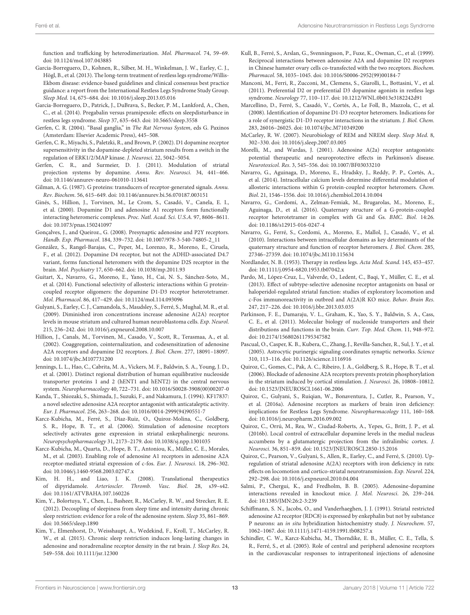function and trafficking by heterodimerization. Mol. Pharmacol. 74, 59–69. doi: [10.1124/mol.107.043885](https://doi.org/10.1124/mol.107.043885)

- <span id="page-12-1"></span>Garcia-Borreguero, D., Kohnen, R., Silber, M. H., Winkelman, J. W., Earley, C. J., Högl, B., et al. (2013). The long-term treatment of restless legs syndrome/Willis-Ekbom disease: evidence-based guidelines and clinical consensus best practice guidance: a report from the International Restless Legs Syndrome Study Group. Sleep Med. 14, 675–684. doi: [10.1016/j.sleep.2013.05.016](https://doi.org/10.1016/j.sleep.2013.05.016)
- <span id="page-12-2"></span>Garcia-Borreguero, D., Patrick, J., DuBrava, S., Becker, P. M., Lankford, A., Chen, C., et al. (2014). Pregabalin versus pramipexole: effects on sleepdisturbance in restless legs syndrome. Sleep 37, 635–643. doi: [10.5665/sleep.3558](https://doi.org/10.5665/sleep.3558)
- <span id="page-12-10"></span>Gerfen, C. R. (2004). "Basal ganglia," in The Rat Nervous System, eds G. Paxinos (Amsterdam: Elsevier Academic Press), 445–508.
- <span id="page-12-19"></span>Gerfen, C. R., Miyachi, S., Paletzki, R., and Brown, P. (2002). D1 dopamine receptor supersensitivity in the dopamine-depleted striatum results from a switch in the regulation of ERK1/2/MAP kinase. J. Neurosci. 22, 5042–5054.
- <span id="page-12-18"></span>Gerfen, C. R., and Surmeier, D. J. (2011). Modulation of striatal projection systems by dopamine. Annu. Rev. Neurosci. 34, 441–466. doi: [10.1146/annurev-neuro-061010-113641](https://doi.org/10.1146/annurev-neuro-061010-113641)
- <span id="page-12-24"></span>Gilman, A. G. (1987). G proteins: transducers of receptor-generated signals. Annu. Rev. Biochem. 56, 615–649. doi: [10.1146/annurev.bi.56.070187.003151](https://doi.org/10.1146/annurev.bi.56.070187.003151)
- <span id="page-12-4"></span>Ginés, S., Hillion, J., Torvinen, M., Le Crom, S., Casadó, V., Canela, E. I., et al. (2000). Dopamine D1 and adenosine A1 receptors form functionally interacting heteromeric complexes. Proc. Natl. Acad. Sci. U.S.A. 97, 8606–8611. doi: [10.1073/pnas.150241097](https://doi.org/10.1073/pnas.150241097)
- <span id="page-12-32"></span>Gonçalves, J., and Queiroz., G. (2008). Presynaptic adenosine and P2Y receptors. Handb. Exp. Pharmacol. 184, 339–732. doi: [10.1007/978-3-540-74805-2\\_](https://doi.org/10.1007/978-3-540-74805-2)11
- <span id="page-12-11"></span>González, S., Rangel-Barajas, C., Peper, M., Lorenzo, R., Moreno, E., Ciruela, F., et al. (2012). Dopamine D4 receptor, but not the ADHD-associated D4.7 variant, forms functional heteromers with the dopamine D2S receptor in the brain. Mol. Psychiatry 17, 650–662. doi: [10.1038/mp.2011.93](https://doi.org/10.1038/mp.2011.93)
- <span id="page-12-23"></span>Guitart, X., Navarro, G., Moreno, E., Yano, H., Cai, N. S., Sánchez-Soto, M., et al. (2014). Functional selectivity of allosteric interactions within G proteincoupled receptor oligomers: the dopamine D1-D3 receptor heterotetramer. Mol. Pharmacol. 86, 417–429. doi: [10.1124/mol.114.093096](https://doi.org/10.1124/mol.114.093096)
- <span id="page-12-7"></span>Gulyani, S., Earley, C. J., Camandola, S., Maudsley, S., Ferré, S., Mughal, M. R., et al. (2009). Diminished iron concentrations increase adenosine A(2A) receptor levels in mouse striatum and cultured human neuroblastoma cells. Exp. Neurol. 215, 236–242. doi: [10.1016/j.expneurol.2008.10.007](https://doi.org/10.1016/j.expneurol.2008.10.007)
- <span id="page-12-5"></span>Hillion, J., Canals, M., Torvinen, M., Casado, V., Scott, R., Terasmaa, A., et al. (2002). Coaggregation, cointernalization, and codesensitization of adenosine A2A receptors and dopamine D2 receptors. J. Biol. Chem. 277, 18091–18097. doi: [10.1074/jbc.M107731200](https://doi.org/10.1074/jbc.M107731200)
- <span id="page-12-36"></span>Jennings, L. L., Hao, C., Cabrita, M. A., Vickers, M. F., Baldwin, S. A., Young, J. D., et al. (2001). Distinct regional distribution of human equilibrative nucleoside transporter proteins 1 and 2 (hENT1 and hENT2) in the central nervous system. Neuropharmacology 40, 722–731. doi: [10.1016/S0028-3908\(00\)00207-0](https://doi.org/10.1016/S0028-3908(00)00207-0)
- <span id="page-12-26"></span>Kanda, T., Shiozaki, S., Shimada, J., Suzuki, F., and Nakamura, J. (1994). KF17837: a novel selective adenosine A2A receptor antagonist with anticataleptic activity. Eur. J. Pharmacol. 256, 263–268. doi: [10.1016/0014-2999\(94\)90551-7](https://doi.org/10.1016/0014-2999(94)90551-7)
- <span id="page-12-17"></span>Karcz-Kubicha, M., Ferré, S., Díaz-Ruiz, O., Quiroz-Molina, C., Goldberg, S. R., Hope, B. T., et al. (2006). Stimulation of adenosine receptors selectively activates gene expression in striatal enkephalinergic neurons. Neuropsychopharmacology 31, 2173–2179. doi: [10.1038/sj.npp.1301035](https://doi.org/10.1038/sj.npp.1301035)
- <span id="page-12-16"></span>Karcz-Kubicha, M., Quarta, D., Hope, B. T., Antoniou, K., Müller, C. E., Morales, M., et al. (2003). Enabling role of adenosine A1 receptors in adenosine A2A receptor-mediated striatal expression of c-fos. Eur. J. Neurosci. 18, 296–302. doi: [10.1046/j.1460-9568.2003.02747.x](https://doi.org/10.1046/j.1460-9568.2003.02747.x)
- <span id="page-12-37"></span>Kim, H. H., and Liao, J. K. (2008). Translational therapeutics of dipyridamole. Arterioscler. Thromb. Vasc. Biol. 28, s39–s42. doi: [10.1161/ATVBAHA.107.160226](https://doi.org/10.1161/ATVBAHA.107.160226)
- <span id="page-12-33"></span>Kim, Y., Bolortuya, Y., Chen, L., Basheer, R., McCarley, R. W., and Strecker, R. E. (2012). Decoupling of sleepiness from sleep time and intensity during chronic sleep restriction: evidence for a role of the adenosine system. Sleep 35, 861–869. doi: [10.5665/sleep.1890](https://doi.org/10.5665/sleep.1890)
- <span id="page-12-34"></span>Kim, Y., Elmenhorst, D., Weisshaupt, A., Wedekind, F., Kroll, T., McCarley, R. W., et al. (2015). Chronic sleep restriction induces long-lasting changes in adenosine and noradrenaline receptor density in the rat brain. J. Sleep Res. 24, 549–558. doi: [10.1111/jsr.12300](https://doi.org/10.1111/jsr.12300)
- <span id="page-12-25"></span>Kull, B., Ferré, S., Arslan, G., Svenningsson, P., Fuxe, K., Owman, C., et al. (1999). Reciprocal interactions between adenosine A2A and dopamine D2 receptors in Chinese hamster ovary cells co-transfected with the two receptors. Biochem. Pharmacol. 58, 1035–1045. doi: [10.1016/S0006-2952\(99\)00184-7](https://doi.org/10.1016/S0006-2952(99)00184-7)
- <span id="page-12-0"></span>Manconi, M., Ferri, R., Zucconi, M., Clemens, S., Giarolli, L., Bottasini, V., et al. (2011). Preferential D2 or preferential D3 dopamine agonists in restless legs syndrome. Neurology 77, 110–117. doi: [10.1212/WNL.0b013e3182242d91](https://doi.org/10.1212/WNL.0b013e3182242d91)
- <span id="page-12-31"></span>Marcellino, D., Ferré, S., Casadó, V., Cortés, A., Le Foll, B., Mazzola, C., et al. (2008). Identification of dopamine D1-D3 receptor heteromers. Indications for a role of synergistic D1-D3 receptor interactions in the striatum. J. Biol. Chem. 283, 26016–26025. doi: [10.1074/jbc.M710349200](https://doi.org/10.1074/jbc.M710349200)
- <span id="page-12-6"></span>McCarley, R. W. (2007). Neurobiology of REM and NREM sleep. Sleep Med. 8, 302–330. doi: [10.1016/j.sleep.2007.03.005](https://doi.org/10.1016/j.sleep.2007.03.005)
- <span id="page-12-27"></span>Morelli, M., and Wardas, J. (2001). Adenosine A(2a) receptor antagonists: potential therapeutic and neuroprotective effects in Parkinson's disease. Neurotoxicol. Res. 3, 545–556. doi: [10.1007/BF03033210](https://doi.org/10.1007/BF03033210)
- <span id="page-12-29"></span>Navarro, G., Aguinaga, D., Moreno, E., Hradsky, J., Reddy, P. P., Cortés, A., et al. (2014). Intracellular calcium levels determine differential modulation of allosteric interactions within G protein-coupled receptor heteromers. Chem. Biol. 21, 1546–1556. doi: [10.1016/j.chembiol.2014.10.004](https://doi.org/10.1016/j.chembiol.2014.10.004)
- <span id="page-12-30"></span>Navarro, G., Cordomí, A., Zelman-Femiak, M., Brugarolas, M., Moreno, E., Aguinaga, D., et al. (2016). Quaternary structure of a G-protein-coupled receptor heterotetramer in complex with Gi and Gs. BMC. Biol. 14:26. doi: [10.1186/s12915-016-0247-4](https://doi.org/10.1186/s12915-016-0247-4)
- <span id="page-12-22"></span>Navarro, G., Ferré, S., Cordomi, A., Moreno, E., Mallol, J., Casadó, V., et al. (2010). Interactions between intracellular domains as key determinants of the quaternary structure and function of receptor heteromers. J. Biol. Chem. 285, 27346–27359. doi: [10.1074/jbc.M110.115634](https://doi.org/10.1074/jbc.M110.115634)
- <span id="page-12-3"></span>Nordlander, N. B. (1953). Therapy in restless legs. Acta Med. Scand. 145, 453–457. doi: [10.1111/j.0954-6820.1953.tb07042.x](https://doi.org/10.1111/j.0954-6820.1953.tb07042.x)
- <span id="page-12-28"></span>Pardo, M., López-Cruz, L., Valverde, O., Ledent, C., Baqi, Y., Müller, C. E., et al. (2013). Effect of subtype-selective adenosine receptor antagonists on basal or haloperidol-regulated striatal function: studies of exploratory locomotion and c-Fos immunoreactivity in outbred and A(2A)R KO mice. Behav. Brain Res. 247, 217–226. doi: [10.1016/j.bbr.2013.03.035](https://doi.org/10.1016/j.bbr.2013.03.035)
- <span id="page-12-14"></span>Parkinson, F. E., Damaraju, V. L., Graham, K., Yao, S. Y., Baldwin, S. A., Cass, C. E., et al. (2011). Molecular biology of nucleoside transporters and their distributions and functions in the brain. Curr. Top. Med. Chem. 11, 948–972. doi: [10.2174/156802611795347582](https://doi.org/10.2174/156802611795347582)
- <span id="page-12-13"></span>Pascual, O., Casper, K. B., Kubera, C., Zhang, J., Revilla-Sanchez, R., Sul, J. Y., et al. (2005). Astrocytic purinergic signaling coordinates synaptic networks. Science 310, 113–116. doi: [10.1126/science.1116916](https://doi.org/10.1126/science.1116916)
- <span id="page-12-20"></span>Quiroz, C., Gomes, C., Pak, A. C., Ribeiro, J. A., Goldberg, S. R., Hope, B. T., et al. (2006). Blockade of adenosine A2A receptors prevents protein phosphorylation in the striatum induced by cortical stimulation. J. Neurosci. 26, 10808–10812. doi: [10.1523/JNEUROSCI.1661-06.2006](https://doi.org/10.1523/JNEUROSCI.1661-06.2006)
- <span id="page-12-9"></span>Quiroz, C., Gulyani, S., Ruiqian, W., Bonaventura, J., Cutler, R., Pearson, V., et al. (2016a). Adenosine receptors as markers of brain iron deficiency: implications for Restless Legs Syndrome. Neuropharmacology 111, 160–168. doi: [10.1016/j.neuropharm.2016.09.002](https://doi.org/10.1016/j.neuropharm.2016.09.002)
- <span id="page-12-12"></span>Quiroz, C., Orrú, M., Rea, W., Ciudad-Roberts, A., Yepes, G., Britt, J. P., et al. (2016b). Local control of extracellular dopamine levels in the medial nucleus accumbens by a glutamatergic projection from the infralimbic cortex. J. Neurosci. 36, 851–859. doi: [10.1523/JNEUROSCI.2850-15.2016](https://doi.org/10.1523/JNEUROSCI.2850-15.2016)
- <span id="page-12-8"></span>Quiroz, C., Pearson, V., Gulyani, S., Allen, R., Earley, C., and Ferré, S. (2010). Upregulation of striatal adenosine A(2A) receptors with iron deficiency in rats: effects on locomotion and cortico-striatal neurotransmission. Exp. Neurol. 224, 292–298. doi: [10.1016/j.expneurol.2010.04.004](https://doi.org/10.1016/j.expneurol.2010.04.004)
- <span id="page-12-15"></span>Salmi, P., Chergui, K., and Fredholm, B. B. (2005). Adenosine-dopamine interactions revealed in knockout mice. J. Mol. Neurosci. 26, 239–244. doi: [10.1385/JMN:26:2-3:239](https://doi.org/10.1385/JMN:26:2-3:239)
- <span id="page-12-21"></span>Schiffmann, S. N., Jacobs, O., and Vanderhaeghen, J. J. (1991). Striatal restricted adenosine A2 receptor (RDC8) is expressed by enkephalin but not by substance P neurons: an in situ hybridization histochemistry study. J. Neurochem. 57, 1062–1067. doi: [10.1111/j.1471-4159.1991.tb08257.x](https://doi.org/10.1111/j.1471-4159.1991.tb08257.x)
- <span id="page-12-35"></span>Schindler, C. W., Karcz-Kubicha, M., Thorndike, E. B., Müller, C. E., Tella, S. R., Ferré, S., et al. (2005). Role of central and peripheral adenosine receptors in the cardiovascular responses to intraperitoneal injections of adenosine